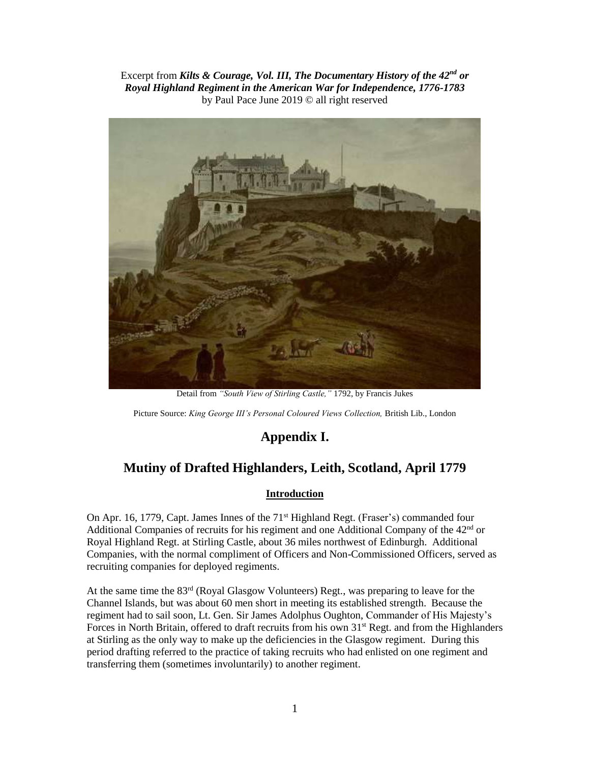Excerpt from *Kilts & Courage, Vol. III, The Documentary History of the 42nd or Royal Highland Regiment in the American War for Independence, 1776-1783* by Paul Pace June 2019 © all right reserved



Detail from *"South View of Stirling Castle,"* 1792, by Francis Jukes

Picture Source: *King George III's Personal Coloured Views Collection,* British Lib., London

# **Appendix I.**

# **Mutiny of Drafted Highlanders, Leith, Scotland, April 1779**

#### **Introduction**

On Apr. 16, 1779, Capt. James Innes of the  $71<sup>st</sup>$  Highland Regt. (Fraser's) commanded four Additional Companies of recruits for his regiment and one Additional Company of the  $42<sup>nd</sup>$  or Royal Highland Regt. at Stirling Castle, about 36 miles northwest of Edinburgh. Additional Companies, with the normal compliment of Officers and Non-Commissioned Officers, served as recruiting companies for deployed regiments.

At the same time the 83rd (Royal Glasgow Volunteers) Regt., was preparing to leave for the Channel Islands, but was about 60 men short in meeting its established strength. Because the regiment had to sail soon, Lt. Gen. Sir James Adolphus Oughton, Commander of His Majesty's Forces in North Britain, offered to draft recruits from his own 31<sup>st</sup> Regt. and from the Highlanders at Stirling as the only way to make up the deficiencies in the Glasgow regiment. During this period drafting referred to the practice of taking recruits who had enlisted on one regiment and transferring them (sometimes involuntarily) to another regiment.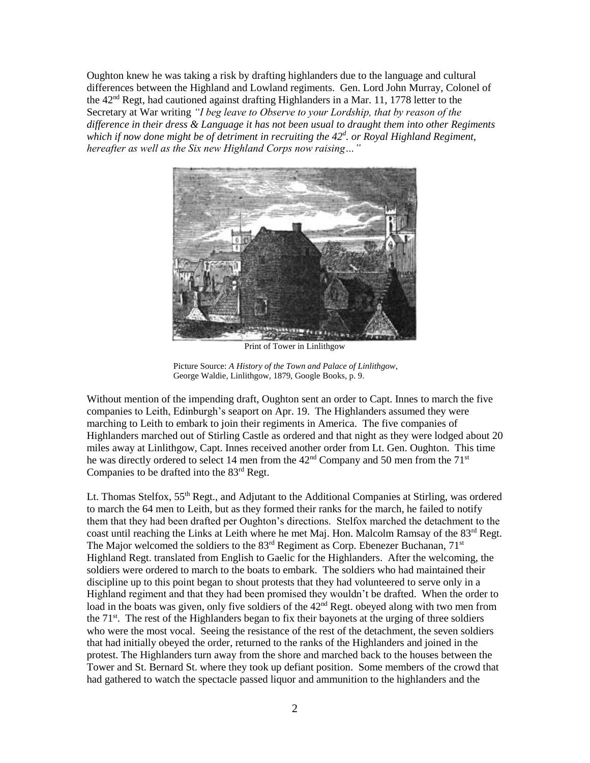Oughton knew he was taking a risk by drafting highlanders due to the language and cultural differences between the Highland and Lowland regiments. Gen. Lord John Murray, Colonel of the  $42<sup>nd</sup>$  Regt, had cautioned against drafting Highlanders in a Mar. 11, 1778 letter to the Secretary at War writing *"I beg leave to Observe to your Lordship, that by reason of the difference in their dress & Language it has not been usual to draught them into other Regiments which if now done might be of detriment in recruiting the 42<sup>d</sup> . or Royal Highland Regiment, hereafter as well as the Six new Highland Corps now raising…"* 



Print of Tower in Linlithgow

Picture Source: *A History of the Town and Palace of Linlithgow*, George Waldie, Linlithgow, 1879, Google Books, p. 9.

Without mention of the impending draft, Oughton sent an order to Capt. Innes to march the five companies to Leith, Edinburgh's seaport on Apr. 19. The Highlanders assumed they were marching to Leith to embark to join their regiments in America. The five companies of Highlanders marched out of Stirling Castle as ordered and that night as they were lodged about 20 miles away at Linlithgow, Capt. Innes received another order from Lt. Gen. Oughton. This time he was directly ordered to select 14 men from the 42<sup>nd</sup> Company and 50 men from the 71<sup>st</sup> Companies to be drafted into the 83rd Regt.

Lt. Thomas Stelfox, 55<sup>th</sup> Regt., and Adjutant to the Additional Companies at Stirling, was ordered to march the 64 men to Leith, but as they formed their ranks for the march, he failed to notify them that they had been drafted per Oughton's directions. Stelfox marched the detachment to the coast until reaching the Links at Leith where he met Maj. Hon. Malcolm Ramsay of the  $83<sup>rd</sup>$  Regt. The Major welcomed the soldiers to the  $83<sup>rd</sup>$  Regiment as Corp. Ebenezer Buchanan,  $71<sup>st</sup>$ Highland Regt. translated from English to Gaelic for the Highlanders. After the welcoming, the soldiers were ordered to march to the boats to embark. The soldiers who had maintained their discipline up to this point began to shout protests that they had volunteered to serve only in a Highland regiment and that they had been promised they wouldn't be drafted. When the order to load in the boats was given, only five soldiers of the  $42<sup>nd</sup>$  Regt. obeyed along with two men from the  $71<sup>st</sup>$ . The rest of the Highlanders began to fix their bayonets at the urging of three soldiers who were the most vocal. Seeing the resistance of the rest of the detachment, the seven soldiers that had initially obeyed the order, returned to the ranks of the Highlanders and joined in the protest. The Highlanders turn away from the shore and marched back to the houses between the Tower and St. Bernard St. where they took up defiant position. Some members of the crowd that had gathered to watch the spectacle passed liquor and ammunition to the highlanders and the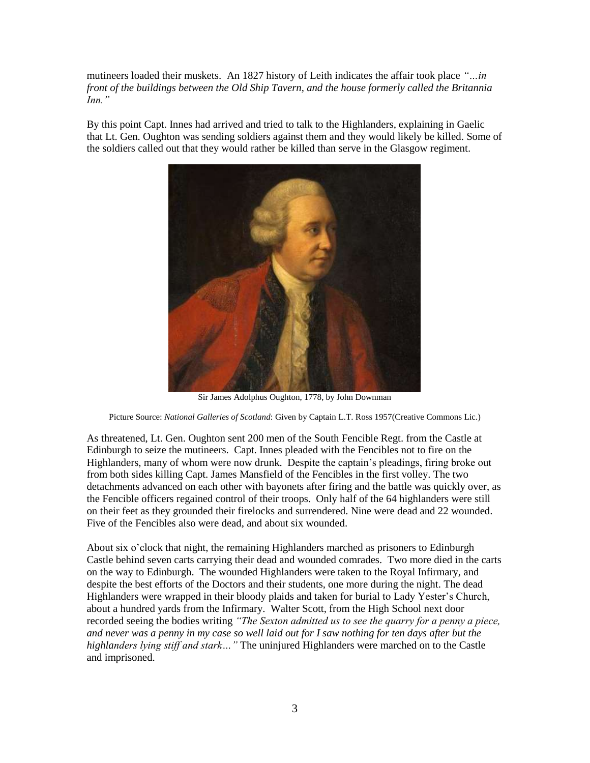mutineers loaded their muskets. An 1827 history of Leith indicates the affair took place *"…in front of the buildings between the Old Ship Tavern, and the house formerly called the Britannia Inn."*

By this point Capt. Innes had arrived and tried to talk to the Highlanders, explaining in Gaelic that Lt. Gen. Oughton was sending soldiers against them and they would likely be killed. Some of the soldiers called out that they would rather be killed than serve in the Glasgow regiment.



Sir James Adolphus Oughton, 1778, by John Downman

Picture Source: *National Galleries of Scotland*: Given by Captain L.T. Ross 1957(Creative Commons Lic.)

As threatened, Lt. Gen. Oughton sent 200 men of the South Fencible Regt. from the Castle at Edinburgh to seize the mutineers. Capt. Innes pleaded with the Fencibles not to fire on the Highlanders, many of whom were now drunk. Despite the captain's pleadings, firing broke out from both sides killing Capt. James Mansfield of the Fencibles in the first volley. The two detachments advanced on each other with bayonets after firing and the battle was quickly over, as the Fencible officers regained control of their troops. Only half of the 64 highlanders were still on their feet as they grounded their firelocks and surrendered. Nine were dead and 22 wounded. Five of the Fencibles also were dead, and about six wounded.

About six o'clock that night, the remaining Highlanders marched as prisoners to Edinburgh Castle behind seven carts carrying their dead and wounded comrades. Two more died in the carts on the way to Edinburgh. The wounded Highlanders were taken to the Royal Infirmary, and despite the best efforts of the Doctors and their students, one more during the night. The dead Highlanders were wrapped in their bloody plaids and taken for burial to Lady Yester's Church, about a hundred yards from the Infirmary. Walter Scott, from the High School next door recorded seeing the bodies writing *"The Sexton admitted us to see the quarry for a penny a piece, and never was a penny in my case so well laid out for I saw nothing for ten days after but the highlanders lying stiff and stark…"* The uninjured Highlanders were marched on to the Castle and imprisoned.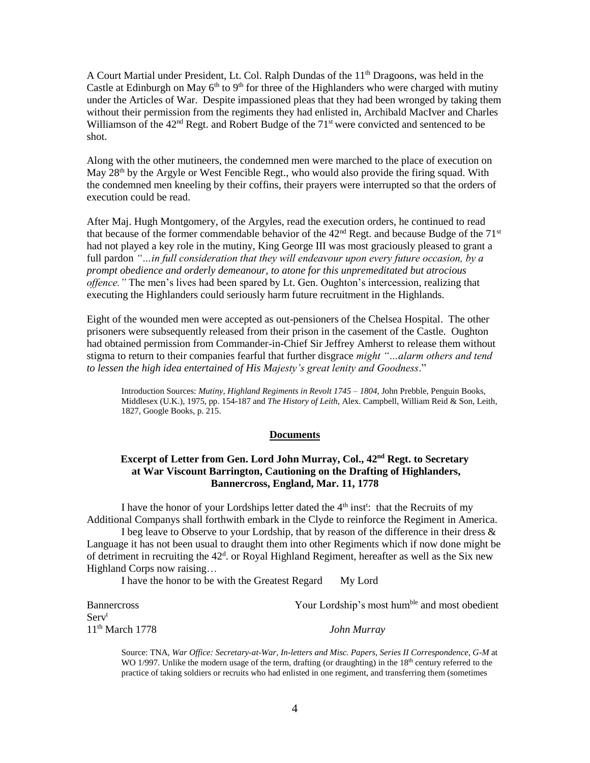A Court Martial under President, Lt. Col. Ralph Dundas of the 11<sup>th</sup> Dragoons, was held in the Castle at Edinburgh on May  $6<sup>th</sup>$  to 9<sup>th</sup> for three of the Highlanders who were charged with mutiny under the Articles of War. Despite impassioned pleas that they had been wronged by taking them without their permission from the regiments they had enlisted in, Archibald MacIver and Charles Williamson of the  $42<sup>nd</sup>$  Regt. and Robert Budge of the  $71<sup>st</sup>$  were convicted and sentenced to be shot.

Along with the other mutineers, the condemned men were marched to the place of execution on May  $28<sup>th</sup>$  by the Argyle or West Fencible Regt., who would also provide the firing squad. With the condemned men kneeling by their coffins, their prayers were interrupted so that the orders of execution could be read.

After Maj. Hugh Montgomery, of the Argyles, read the execution orders, he continued to read that because of the former commendable behavior of the 42nd Regt. and because Budge of the 71st had not played a key role in the mutiny, King George III was most graciously pleased to grant a full pardon *"…in full consideration that they will endeavour upon every future occasion, by a prompt obedience and orderly demeanour, to atone for this unpremeditated but atrocious offence."* The men's lives had been spared by Lt. Gen. Oughton's intercession, realizing that executing the Highlanders could seriously harm future recruitment in the Highlands.

Eight of the wounded men were accepted as out-pensioners of the Chelsea Hospital. The other prisoners were subsequently released from their prison in the casement of the Castle. Oughton had obtained permission from Commander-in-Chief Sir Jeffrey Amherst to release them without stigma to return to their companies fearful that further disgrace *might "…alarm others and tend to lessen the high idea entertained of His Majesty's great lenity and Goodness*."

Introduction Sources: *Mutiny, Highland Regiments in Revolt 1745 – 1804*, John Prebble, Penguin Books, Middlesex (U.K.), 1975, pp. 154-187 and *The History of Leith*, Alex. Campbell, William Reid & Son, Leith, 1827, Google Books, p. 215.

#### **Documents**

#### **Excerpt of Letter from Gen. Lord John Murray, Col., 42nd Regt. to Secretary at War Viscount Barrington, Cautioning on the Drafting of Highlanders, Bannercross, England, Mar. 11, 1778**

I have the honor of your Lordships letter dated the  $4<sup>th</sup>$  inst<sup>t</sup>: that the Recruits of my Additional Companys shall forthwith embark in the Clyde to reinforce the Regiment in America.

I beg leave to Observe to your Lordship, that by reason of the difference in their dress & Language it has not been usual to draught them into other Regiments which if now done might be of detriment in recruiting the  $42<sup>d</sup>$ . or Royal Highland Regiment, hereafter as well as the Six new Highland Corps now raising…

I have the honor to be with the Greatest Regard My Lord

| <b>Bannercross</b> | Your Lordship's most hum <sup>ble</sup> and most obedient |
|--------------------|-----------------------------------------------------------|
| Serv <sup>t</sup>  |                                                           |
| $11th$ March 1778  | John Murray                                               |

Source: TNA, *War Office: Secretary-at-War, In-letters and Misc. Papers, Series II Correspondence, G-M* at WO 1/997. Unlike the modern usage of the term, drafting (or draughting) in the 18<sup>th</sup> century referred to the practice of taking soldiers or recruits who had enlisted in one regiment, and transferring them (sometimes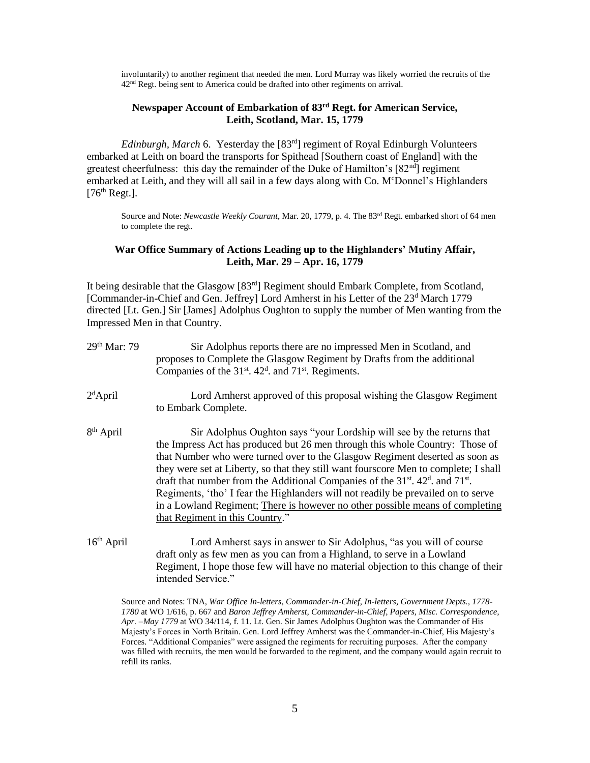involuntarily) to another regiment that needed the men. Lord Murray was likely worried the recruits of the 42<sup>nd</sup> Regt. being sent to America could be drafted into other regiments on arrival.

## **Newspaper Account of Embarkation of 83rd Regt. for American Service, Leith, Scotland, Mar. 15, 1779**

*Edinburgh, March* 6. Yesterday the [83<sup>rd</sup>] regiment of Royal Edinburgh Volunteers embarked at Leith on board the transports for Spithead [Southern coast of England] with the greatest cheerfulness: this day the remainder of the Duke of Hamilton's  $[82<sup>nd</sup>]$  regiment embarked at Leith, and they will all sail in a few days along with Co. M<sup>c</sup>Donnel's Highlanders  $[76<sup>th</sup>$  Regt.].

Source and Note: *Newcastle Weekly Courant*, Mar. 20, 1779, p. 4. The 83rd Regt. embarked short of 64 men to complete the regt.

#### **War Office Summary of Actions Leading up to the Highlanders' Mutiny Affair, Leith, Mar. 29 – Apr. 16, 1779**

It being desirable that the Glasgow [83rd] Regiment should Embark Complete, from Scotland, [Commander-in-Chief and Gen. Jeffrey] Lord Amherst in his Letter of the 23<sup>d</sup> March 1779 directed [Lt. Gen.] Sir [James] Adolphus Oughton to supply the number of Men wanting from the Impressed Men in that Country.

| 29th Mar: 79           | Sir Adolphus reports there are no impressed Men in Scotland, and<br>proposes to Complete the Glasgow Regiment by Drafts from the additional<br>Companies of the 31 <sup>st</sup> . 42 <sup>d</sup> . and 71 <sup>st</sup> . Regiments.                                                                                                                                                                                                                                                                                                                                                                                                                       |
|------------------------|--------------------------------------------------------------------------------------------------------------------------------------------------------------------------------------------------------------------------------------------------------------------------------------------------------------------------------------------------------------------------------------------------------------------------------------------------------------------------------------------------------------------------------------------------------------------------------------------------------------------------------------------------------------|
| $2d$ April             | Lord Amherst approved of this proposal wishing the Glasgow Regiment<br>to Embark Complete.                                                                                                                                                                                                                                                                                                                                                                                                                                                                                                                                                                   |
| 8 <sup>th</sup> April  | Sir Adolphus Oughton says "your Lordship will see by the returns that<br>the Impress Act has produced but 26 men through this whole Country: Those of<br>that Number who were turned over to the Glasgow Regiment deserted as soon as<br>they were set at Liberty, so that they still want fourscore Men to complete; I shall<br>draft that number from the Additional Companies of the 31 <sup>st</sup> . 42 <sup>d</sup> . and 71 <sup>st</sup> .<br>Regiments, 'tho' I fear the Highlanders will not readily be prevailed on to serve<br>in a Lowland Regiment; There is however no other possible means of completing<br>that Regiment in this Country." |
| 16 <sup>th</sup> April | Lord Amherst says in answer to Sir Adolphus, "as you will of course<br>draft only as few men as you can from a Highland, to serve in a Lowland<br>Regiment, I hope those few will have no material objection to this change of their                                                                                                                                                                                                                                                                                                                                                                                                                         |

intended Service."

Source and Notes: TNA, *War Office In-letters, Commander-in-Chief, In-letters, Government Depts., 1778- 1780* at WO 1/616, p. 667 and *Baron Jeffrey Amherst, Commander-in-Chief, Papers, Misc. Correspondence, Apr. –May 1779* at WO 34/114, f. 11. Lt. Gen. Sir James Adolphus Oughton was the Commander of His Majesty's Forces in North Britain. Gen. Lord Jeffrey Amherst was the Commander-in-Chief, His Majesty's Forces. "Additional Companies" were assigned the regiments for recruiting purposes. After the company was filled with recruits, the men would be forwarded to the regiment, and the company would again recruit to refill its ranks.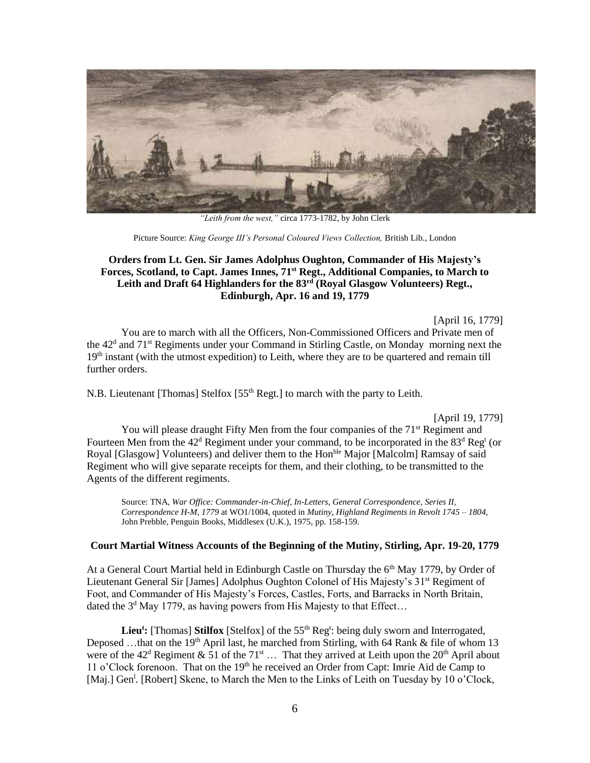

*"Leith from the west,"* circa 1773-1782, by John Clerk

Picture Source: *King George III's Personal Coloured Views Collection,* British Lib., London

## **Orders from Lt. Gen. Sir James Adolphus Oughton, Commander of His Majesty's Forces, Scotland, to Capt. James Innes, 71st Regt., Additional Companies, to March to Leith and Draft 64 Highlanders for the 83rd (Royal Glasgow Volunteers) Regt., Edinburgh, Apr. 16 and 19, 1779**

[April 16, 1779]

You are to march with all the Officers, Non-Commissioned Officers and Private men of the 42<sup>d</sup> and 71<sup>st</sup> Regiments under your Command in Stirling Castle, on Monday morning next the 19<sup>th</sup> instant (with the utmost expedition) to Leith, where they are to be quartered and remain till further orders.

N.B. Lieutenant [Thomas] Stelfox [55<sup>th</sup> Regt.] to march with the party to Leith.

[April 19, 1779]

You will please draught Fifty Men from the four companies of the 71<sup>st</sup> Regiment and Fourteen Men from the  $42<sup>d</sup>$  Regiment under your command, to be incorporated in the  $83<sup>d</sup>$  Reg<sup>t</sup> (or Royal [Glasgow] Volunteers) and deliver them to the Hon<sup>ble</sup> Major [Malcolm] Ramsay of said Regiment who will give separate receipts for them, and their clothing, to be transmitted to the Agents of the different regiments.

Source: TNA, *War Office: Commander-in-Chief, In-Letters, General Correspondence, Series II, Correspondence H-M, 1779* at WO1/1004, quoted in *Mutiny, Highland Regiments in Revolt 1745 – 1804*, John Prebble, Penguin Books, Middlesex (U.K.), 1975, pp. 158-159.

#### **Court Martial Witness Accounts of the Beginning of the Mutiny, Stirling, Apr. 19-20, 1779**

At a General Court Martial held in Edinburgh Castle on Thursday the 6<sup>th</sup> May 1779, by Order of Lieutenant General Sir [James] Adolphus Oughton Colonel of His Majesty's 31<sup>st</sup> Regiment of Foot, and Commander of His Majesty's Forces, Castles, Forts, and Barracks in North Britain, dated the  $3<sup>d</sup>$  May 1779, as having powers from His Majesty to that Effect...

Lieu<sup>t</sup>: [Thomas] Stilfox [Stelfox] of the 55<sup>th</sup> Reg<sup>t</sup>: being duly sworn and Interrogated, Deposed …that on the 19<sup>th</sup> April last, he marched from Stirling, with 64 Rank & file of whom 13 were of the  $42<sup>d</sup>$  Regiment & 51 of the  $71<sup>st</sup>$  … That they arrived at Leith upon the  $20<sup>th</sup>$  April about 11 o'Clock forenoon. That on the  $19<sup>th</sup>$  he received an Order from Capt: Imrie Aid de Camp to [Maj.] Gen<sup>1</sup>. [Robert] Skene, to March the Men to the Links of Leith on Tuesday by 10 o'Clock,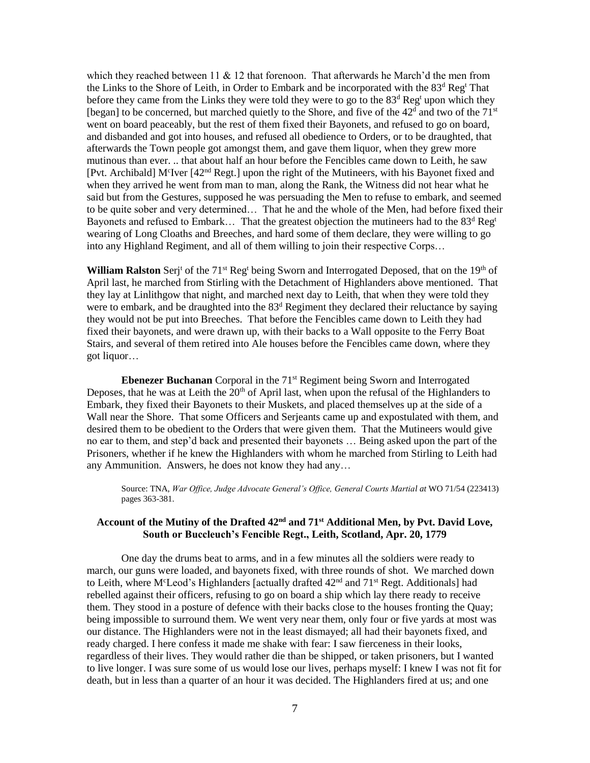which they reached between 11  $& 12$  that forenoon. That afterwards he March'd the men from the Links to the Shore of Leith, in Order to Embark and be incorporated with the 83<sup>d</sup> Reg<sup>t</sup> That before they came from the Links they were told they were to go to the  $83<sup>d</sup>$  Reg<sup>t</sup> upon which they [began] to be concerned, but marched quietly to the Shore, and five of the  $42<sup>d</sup>$  and two of the  $71<sup>st</sup>$ went on board peaceably, but the rest of them fixed their Bayonets, and refused to go on board, and disbanded and got into houses, and refused all obedience to Orders, or to be draughted, that afterwards the Town people got amongst them, and gave them liquor, when they grew more mutinous than ever. .. that about half an hour before the Fencibles came down to Leith, he saw [Pvt. Archibald] M<sup>c</sup>Iver [42<sup>nd</sup> Regt.] upon the right of the Mutineers, with his Bayonet fixed and when they arrived he went from man to man, along the Rank, the Witness did not hear what he said but from the Gestures, supposed he was persuading the Men to refuse to embark, and seemed to be quite sober and very determined… That he and the whole of the Men, had before fixed their Bayonets and refused to Embark... That the greatest objection the mutineers had to the  $83<sup>d</sup>$  Reg<sup>t</sup> wearing of Long Cloaths and Breeches, and hard some of them declare, they were willing to go into any Highland Regiment, and all of them willing to join their respective Corps…

**William Ralston** Serj<sup>t</sup> of the 71<sup>st</sup> Reg<sup>t</sup> being Sworn and Interrogated Deposed, that on the 19<sup>th</sup> of April last, he marched from Stirling with the Detachment of Highlanders above mentioned. That they lay at Linlithgow that night, and marched next day to Leith, that when they were told they were to embark, and be draughted into the  $83<sup>d</sup>$  Regiment they declared their reluctance by saying they would not be put into Breeches. That before the Fencibles came down to Leith they had fixed their bayonets, and were drawn up, with their backs to a Wall opposite to the Ferry Boat Stairs, and several of them retired into Ale houses before the Fencibles came down, where they got liquor…

**Ebenezer Buchanan** Corporal in the 71<sup>st</sup> Regiment being Sworn and Interrogated Deposes, that he was at Leith the  $20<sup>th</sup>$  of April last, when upon the refusal of the Highlanders to Embark, they fixed their Bayonets to their Muskets, and placed themselves up at the side of a Wall near the Shore. That some Officers and Serjeants came up and expostulated with them, and desired them to be obedient to the Orders that were given them. That the Mutineers would give no ear to them, and step'd back and presented their bayonets … Being asked upon the part of the Prisoners, whether if he knew the Highlanders with whom he marched from Stirling to Leith had any Ammunition. Answers, he does not know they had any…

Source: TNA, *War Office, Judge Advocate General's Office, General Courts Martial at* WO 71/54 (223413) pages 363-381.

#### **Account of the Mutiny of the Drafted 42nd and 71st Additional Men, by Pvt. David Love, South or Buccleuch's Fencible Regt., Leith, Scotland, Apr. 20, 1779**

One day the drums beat to arms, and in a few minutes all the soldiers were ready to march, our guns were loaded, and bayonets fixed, with three rounds of shot. We marched down to Leith, where M<sup>c</sup>Leod's Highlanders [actually drafted 42<sup>nd</sup> and 71<sup>st</sup> Regt. Additionals] had rebelled against their officers, refusing to go on board a ship which lay there ready to receive them. They stood in a posture of defence with their backs close to the houses fronting the Quay; being impossible to surround them. We went very near them, only four or five yards at most was our distance. The Highlanders were not in the least dismayed; all had their bayonets fixed, and ready charged. I here confess it made me shake with fear: I saw fierceness in their looks, regardless of their lives. They would rather die than be shipped, or taken prisoners, but I wanted to live longer. I was sure some of us would lose our lives, perhaps myself: I knew I was not fit for death, but in less than a quarter of an hour it was decided. The Highlanders fired at us; and one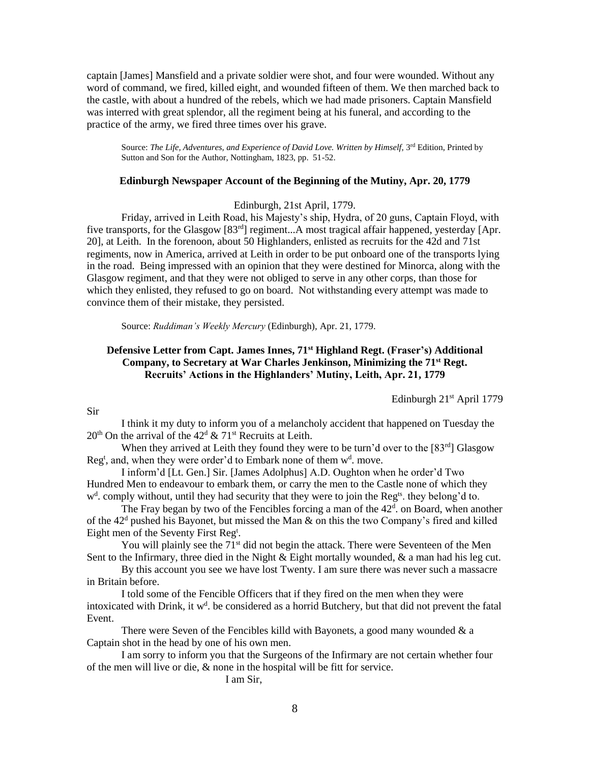captain [James] Mansfield and a private soldier were shot, and four were wounded. Without any word of command, we fired, killed eight, and wounded fifteen of them. We then marched back to the castle, with about a hundred of the rebels, which we had made prisoners. Captain Mansfield was interred with great splendor, all the regiment being at his funeral, and according to the practice of the army, we fired three times over his grave.

Source: *The Life, Adventures, and Experience of David Love. Written by Himself, 3<sup>rd</sup> Edition, Printed by* Sutton and Son for the Author, Nottingham, 1823, pp. 51-52.

#### **Edinburgh Newspaper Account of the Beginning of the Mutiny, Apr. 20, 1779**

Edinburgh, 21st April, 1779.

Friday, arrived in Leith Road, his Majesty's ship, Hydra, of 20 guns, Captain Floyd, with five transports, for the Glasgow [83<sup>rd</sup>] regiment...A most tragical affair happened, yesterday [Apr. 20], at Leith. In the forenoon, about 50 Highlanders, enlisted as recruits for the 42d and 71st regiments, now in America, arrived at Leith in order to be put onboard one of the transports lying in the road. Being impressed with an opinion that they were destined for Minorca, along with the Glasgow regiment, and that they were not obliged to serve in any other corps, than those for which they enlisted, they refused to go on board. Not withstanding every attempt was made to convince them of their mistake, they persisted.

Source: *Ruddiman's Weekly Mercury* (Edinburgh)*,* Apr. 21, 1779.

## **Defensive Letter from Capt. James Innes, 71st Highland Regt. (Fraser's) Additional Company, to Secretary at War Charles Jenkinson, Minimizing the 71st Regt. Recruits' Actions in the Highlanders' Mutiny, Leith, Apr. 21, 1779**

Edinburgh 21st April 1779

Sir

I think it my duty to inform you of a melancholy accident that happened on Tuesday the  $20<sup>th</sup>$  On the arrival of the 42<sup>d</sup> & 71<sup>st</sup> Recruits at Leith.

When they arrived at Leith they found they were to be turn'd over to the  $[83^{rd}]$  Glasgow Reg<sup>t</sup>, and, when they were order'd to Embark none of them  $w<sup>d</sup>$ . move.

I inform'd [Lt. Gen.] Sir. [James Adolphus] A.D. Oughton when he order'd Two Hundred Men to endeavour to embark them, or carry the men to the Castle none of which they w<sup>d</sup>. comply without, until they had security that they were to join the Reg<sup>ts</sup>. they belong'd to.

The Fray began by two of the Fencibles forcing a man of the  $42<sup>d</sup>$ . on Board, when another of the  $42<sup>d</sup>$  pushed his Bayonet, but missed the Man & on this the two Company's fired and killed Eight men of the Seventy First Reg<sup>t</sup>.

You will plainly see the 71<sup>st</sup> did not begin the attack. There were Seventeen of the Men Sent to the Infirmary, three died in the Night  $\&$  Eight mortally wounded,  $\&$  a man had his leg cut.

By this account you see we have lost Twenty. I am sure there was never such a massacre in Britain before.

I told some of the Fencible Officers that if they fired on the men when they were intoxicated with Drink, it  $w<sup>d</sup>$ . be considered as a horrid Butchery, but that did not prevent the fatal Event.

There were Seven of the Fencibles killd with Bayonets, a good many wounded  $\&$  a Captain shot in the head by one of his own men.

I am sorry to inform you that the Surgeons of the Infirmary are not certain whether four of the men will live or die, & none in the hospital will be fitt for service.

I am Sir,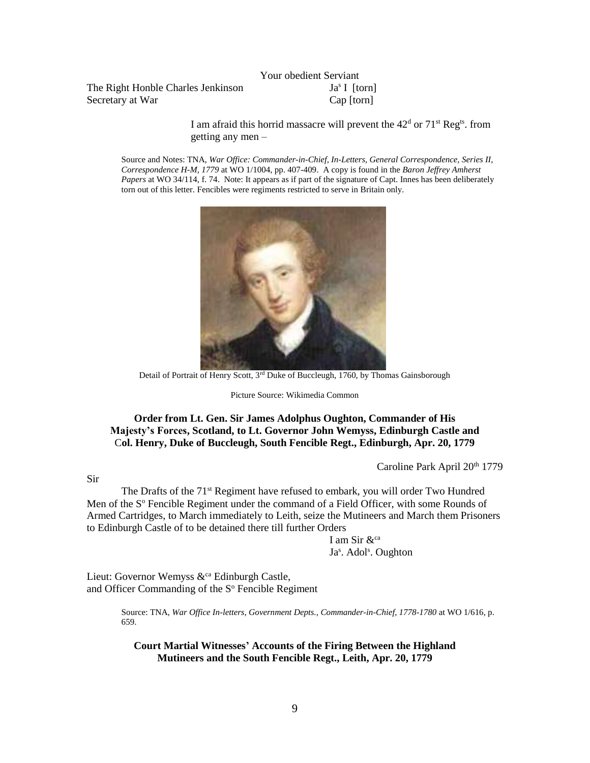The Right Honble Charles Jenkinson Secretary at War Cap [torn]

Your obedient Serviant  $Ja<sup>s</sup>$  [torn]

I am afraid this horrid massacre will prevent the  $42<sup>d</sup>$  or  $71<sup>st</sup>$  Reg<sup>ts</sup>. from getting any men –

Source and Notes: TNA, *War Office: Commander-in-Chief, In-Letters, General Correspondence, Series II, Correspondence H-M, 1779* at WO 1/1004, pp. 407-409. A copy is found in the *Baron Jeffrey Amherst Papers* at WO 34/114, f. 74. Note: It appears as if part of the signature of Capt. Innes has been deliberately torn out of this letter. Fencibles were regiments restricted to serve in Britain only.



Detail of Portrait of Henry Scott, 3<sup>rd</sup> Duke of Buccleugh, 1760, by Thomas Gainsborough

Picture Source: Wikimedia Common

#### **Order from Lt. Gen. Sir James Adolphus Oughton, Commander of His Majesty's Forces, Scotland, to Lt. Governor John Wemyss, Edinburgh Castle and** C**ol. Henry, Duke of Buccleugh, South Fencible Regt., Edinburgh, Apr. 20, 1779**

Caroline Park April 20<sup>th</sup> 1779

The Drafts of the 71<sup>st</sup> Regiment have refused to embark, you will order Two Hundred Men of the S° Fencible Regiment under the command of a Field Officer, with some Rounds of Armed Cartridges, to March immediately to Leith, seize the Mutineers and March them Prisoners to Edinburgh Castle of to be detained there till further Orders

I am Sir  $\&$ <sup>ca</sup> Ja<sup>s</sup>. Adol<sup>s</sup>. Oughton

Lieut: Governor Wemyss  $\&^{\text{ca}}$  Edinburgh Castle, and Officer Commanding of the S<sup>°</sup> Fencible Regiment

> Source: TNA, *War Office In-letters, Government Depts., Commander-in-Chief, 1778-1780* at WO 1/616, p. 659.

**Court Martial Witnesses' Accounts of the Firing Between the Highland Mutineers and the South Fencible Regt., Leith, Apr. 20, 1779**

# Sir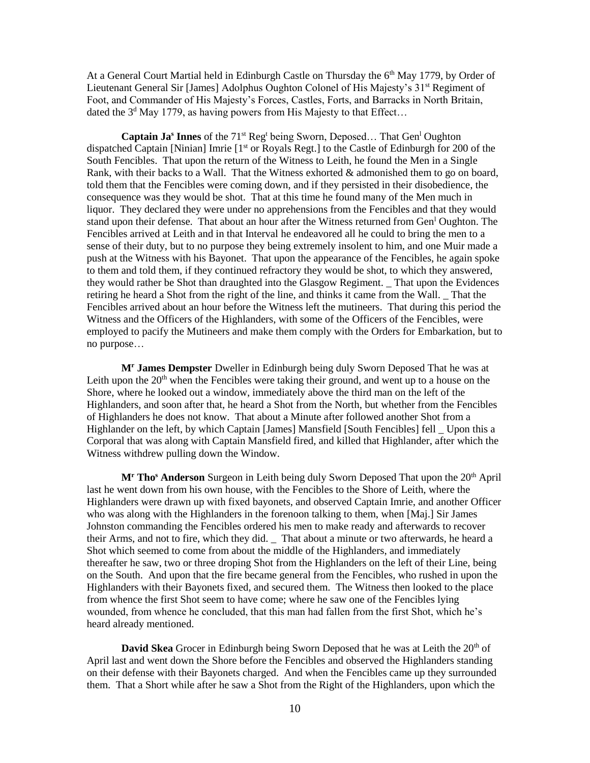At a General Court Martial held in Edinburgh Castle on Thursday the  $6<sup>th</sup>$  May 1779, by Order of Lieutenant General Sir [James] Adolphus Oughton Colonel of His Majesty's 31<sup>st</sup> Regiment of Foot, and Commander of His Majesty's Forces, Castles, Forts, and Barracks in North Britain, dated the  $3<sup>d</sup>$  May 1779, as having powers from His Majesty to that Effect...

**Captain Ja<sup>s</sup> Innes** of the 71<sup>st</sup> Reg<sup>t</sup> being Sworn, Deposed... That Gen<sup>1</sup> Oughton dispatched Captain [Ninian] Imrie [1<sup>st</sup> or Royals Regt.] to the Castle of Edinburgh for 200 of the South Fencibles. That upon the return of the Witness to Leith, he found the Men in a Single Rank, with their backs to a Wall. That the Witness exhorted & admonished them to go on board, told them that the Fencibles were coming down, and if they persisted in their disobedience, the consequence was they would be shot. That at this time he found many of the Men much in liquor. They declared they were under no apprehensions from the Fencibles and that they would stand upon their defense. That about an hour after the Witness returned from Gen<sup>1</sup> Oughton. The Fencibles arrived at Leith and in that Interval he endeavored all he could to bring the men to a sense of their duty, but to no purpose they being extremely insolent to him, and one Muir made a push at the Witness with his Bayonet. That upon the appearance of the Fencibles, he again spoke to them and told them, if they continued refractory they would be shot, to which they answered, they would rather be Shot than draughted into the Glasgow Regiment. \_ That upon the Evidences retiring he heard a Shot from the right of the line, and thinks it came from the Wall. \_ That the Fencibles arrived about an hour before the Witness left the mutineers. That during this period the Witness and the Officers of the Highlanders, with some of the Officers of the Fencibles, were employed to pacify the Mutineers and make them comply with the Orders for Embarkation, but to no purpose…

**M<sup>r</sup> James Dempster** Dweller in Edinburgh being duly Sworn Deposed That he was at Leith upon the  $20<sup>th</sup>$  when the Fencibles were taking their ground, and went up to a house on the Shore, where he looked out a window, immediately above the third man on the left of the Highlanders, and soon after that, he heard a Shot from the North, but whether from the Fencibles of Highlanders he does not know. That about a Minute after followed another Shot from a Highlander on the left, by which Captain [James] Mansfield [South Fencibles] fell \_ Upon this a Corporal that was along with Captain Mansfield fired, and killed that Highlander, after which the Witness withdrew pulling down the Window.

**M<sup>r</sup> Tho<sup>s</sup> Anderson** Surgeon in Leith being duly Sworn Deposed That upon the 20th April last he went down from his own house, with the Fencibles to the Shore of Leith, where the Highlanders were drawn up with fixed bayonets, and observed Captain Imrie, and another Officer who was along with the Highlanders in the forenoon talking to them, when [Maj.] Sir James Johnston commanding the Fencibles ordered his men to make ready and afterwards to recover their Arms, and not to fire, which they did. \_ That about a minute or two afterwards, he heard a Shot which seemed to come from about the middle of the Highlanders, and immediately thereafter he saw, two or three droping Shot from the Highlanders on the left of their Line, being on the South. And upon that the fire became general from the Fencibles, who rushed in upon the Highlanders with their Bayonets fixed, and secured them. The Witness then looked to the place from whence the first Shot seem to have come; where he saw one of the Fencibles lying wounded, from whence he concluded, that this man had fallen from the first Shot, which he's heard already mentioned.

**David Skea** Grocer in Edinburgh being Sworn Deposed that he was at Leith the 20<sup>th</sup> of April last and went down the Shore before the Fencibles and observed the Highlanders standing on their defense with their Bayonets charged. And when the Fencibles came up they surrounded them. That a Short while after he saw a Shot from the Right of the Highlanders, upon which the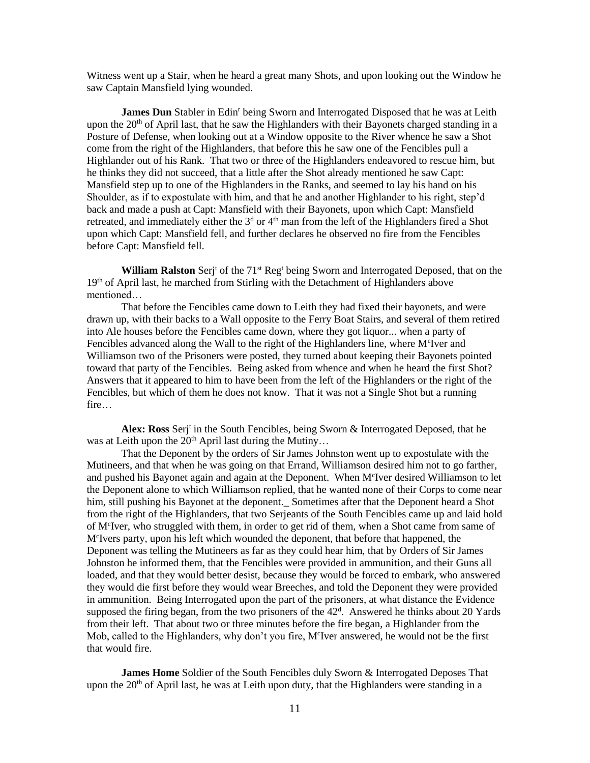Witness went up a Stair, when he heard a great many Shots, and upon looking out the Window he saw Captain Mansfield lying wounded.

James Dun Stabler in Edin<sup>r</sup> being Sworn and Interrogated Disposed that he was at Leith upon the  $20<sup>th</sup>$  of April last, that he saw the Highlanders with their Bayonets charged standing in a Posture of Defense, when looking out at a Window opposite to the River whence he saw a Shot come from the right of the Highlanders, that before this he saw one of the Fencibles pull a Highlander out of his Rank. That two or three of the Highlanders endeavored to rescue him, but he thinks they did not succeed, that a little after the Shot already mentioned he saw Capt: Mansfield step up to one of the Highlanders in the Ranks, and seemed to lay his hand on his Shoulder, as if to expostulate with him, and that he and another Highlander to his right, step'd back and made a push at Capt: Mansfield with their Bayonets, upon which Capt: Mansfield retreated, and immediately either the  $3<sup>d</sup>$  or  $4<sup>th</sup>$  man from the left of the Highlanders fired a Shot upon which Capt: Mansfield fell, and further declares he observed no fire from the Fencibles before Capt: Mansfield fell.

**William Ralston** Serj<sup>t</sup> of the 71<sup>st</sup> Reg<sup>t</sup> being Sworn and Interrogated Deposed, that on the 19th of April last, he marched from Stirling with the Detachment of Highlanders above mentioned…

That before the Fencibles came down to Leith they had fixed their bayonets, and were drawn up, with their backs to a Wall opposite to the Ferry Boat Stairs, and several of them retired into Ale houses before the Fencibles came down, where they got liquor... when a party of Fencibles advanced along the Wall to the right of the Highlanders line, where M<sup>c</sup>Iver and Williamson two of the Prisoners were posted, they turned about keeping their Bayonets pointed toward that party of the Fencibles. Being asked from whence and when he heard the first Shot? Answers that it appeared to him to have been from the left of the Highlanders or the right of the Fencibles, but which of them he does not know. That it was not a Single Shot but a running fire…

Alex: Ross Serj<sup>t</sup> in the South Fencibles, being Sworn & Interrogated Deposed, that he was at Leith upon the  $20<sup>th</sup>$  April last during the Mutiny...

That the Deponent by the orders of Sir James Johnston went up to expostulate with the Mutineers, and that when he was going on that Errand, Williamson desired him not to go farther, and pushed his Bayonet again and again at the Deponent. When M<sup>c</sup>Iver desired Williamson to let the Deponent alone to which Williamson replied, that he wanted none of their Corps to come near him, still pushing his Bayonet at the deponent. Sometimes after that the Deponent heard a Shot from the right of the Highlanders, that two Serjeants of the South Fencibles came up and laid hold of M<sup>c</sup>Iver, who struggled with them, in order to get rid of them, when a Shot came from same of M<sup>c</sup> Ivers party, upon his left which wounded the deponent, that before that happened, the Deponent was telling the Mutineers as far as they could hear him, that by Orders of Sir James Johnston he informed them, that the Fencibles were provided in ammunition, and their Guns all loaded, and that they would better desist, because they would be forced to embark, who answered they would die first before they would wear Breeches, and told the Deponent they were provided in ammunition. Being Interrogated upon the part of the prisoners, at what distance the Evidence supposed the firing began, from the two prisoners of the  $42<sup>d</sup>$ . Answered he thinks about 20 Yards from their left. That about two or three minutes before the fire began, a Highlander from the Mob, called to the Highlanders, why don't you fire, M'Iver answered, he would not be the first that would fire.

**James Home** Soldier of the South Fencibles duly Sworn & Interrogated Deposes That upon the  $20<sup>th</sup>$  of April last, he was at Leith upon duty, that the Highlanders were standing in a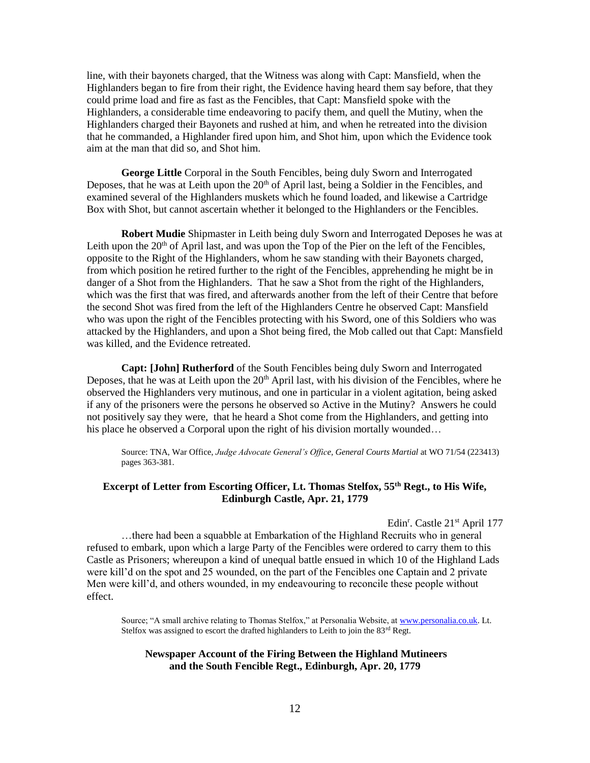line, with their bayonets charged, that the Witness was along with Capt: Mansfield, when the Highlanders began to fire from their right, the Evidence having heard them say before, that they could prime load and fire as fast as the Fencibles, that Capt: Mansfield spoke with the Highlanders, a considerable time endeavoring to pacify them, and quell the Mutiny, when the Highlanders charged their Bayonets and rushed at him, and when he retreated into the division that he commanded, a Highlander fired upon him, and Shot him, upon which the Evidence took aim at the man that did so, and Shot him.

**George Little** Corporal in the South Fencibles, being duly Sworn and Interrogated Deposes, that he was at Leith upon the  $20<sup>th</sup>$  of April last, being a Soldier in the Fencibles, and examined several of the Highlanders muskets which he found loaded, and likewise a Cartridge Box with Shot, but cannot ascertain whether it belonged to the Highlanders or the Fencibles.

**Robert Mudie** Shipmaster in Leith being duly Sworn and Interrogated Deposes he was at Leith upon the  $20<sup>th</sup>$  of April last, and was upon the Top of the Pier on the left of the Fencibles, opposite to the Right of the Highlanders, whom he saw standing with their Bayonets charged, from which position he retired further to the right of the Fencibles, apprehending he might be in danger of a Shot from the Highlanders. That he saw a Shot from the right of the Highlanders, which was the first that was fired, and afterwards another from the left of their Centre that before the second Shot was fired from the left of the Highlanders Centre he observed Capt: Mansfield who was upon the right of the Fencibles protecting with his Sword, one of this Soldiers who was attacked by the Highlanders, and upon a Shot being fired, the Mob called out that Capt: Mansfield was killed, and the Evidence retreated.

**Capt: [John] Rutherford** of the South Fencibles being duly Sworn and Interrogated Deposes, that he was at Leith upon the  $20<sup>th</sup>$  April last, with his division of the Fencibles, where he observed the Highlanders very mutinous, and one in particular in a violent agitation, being asked if any of the prisoners were the persons he observed so Active in the Mutiny? Answers he could not positively say they were, that he heard a Shot come from the Highlanders, and getting into his place he observed a Corporal upon the right of his division mortally wounded...

Source: TNA, War Office, *Judge Advocate General's Office, General Courts Martial* at WO 71/54 (223413) pages 363-381.

#### **Excerpt of Letter from Escorting Officer, Lt. Thomas Stelfox, 55th Regt., to His Wife, Edinburgh Castle, Apr. 21, 1779**

Edin<sup>r</sup>. Castle 21<sup>st</sup> April 177

…there had been a squabble at Embarkation of the Highland Recruits who in general refused to embark, upon which a large Party of the Fencibles were ordered to carry them to this Castle as Prisoners; whereupon a kind of unequal battle ensued in which 10 of the Highland Lads were kill'd on the spot and 25 wounded, on the part of the Fencibles one Captain and 2 private Men were kill'd, and others wounded, in my endeavouring to reconcile these people without effect.

Source; "A small archive relating to Thomas Stelfox," at Personalia Website, at [www.personalia.co.uk.](http://www.personalia.co.uk/) Lt. Stelfox was assigned to escort the drafted highlanders to Leith to join the 83rd Regt.

#### **Newspaper Account of the Firing Between the Highland Mutineers and the South Fencible Regt., Edinburgh, Apr. 20, 1779**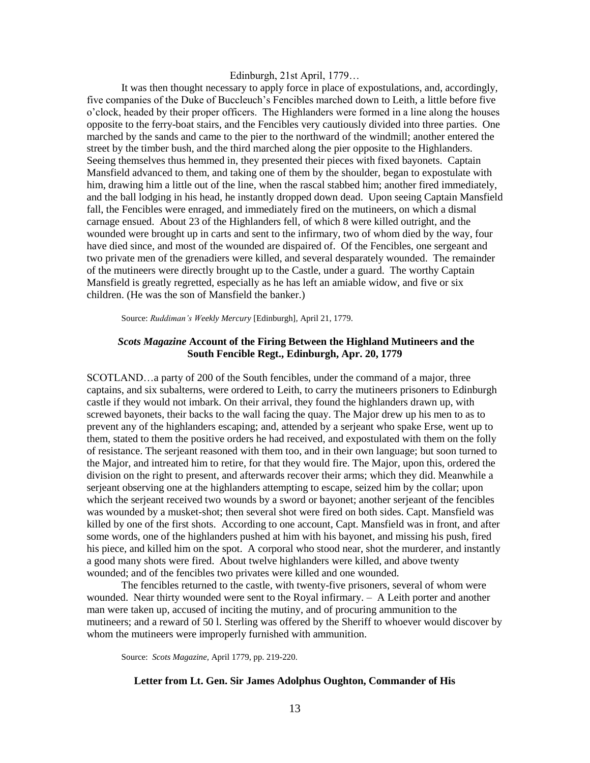#### Edinburgh, 21st April, 1779…

It was then thought necessary to apply force in place of expostulations, and, accordingly, five companies of the Duke of Buccleuch's Fencibles marched down to Leith, a little before five o'clock, headed by their proper officers. The Highlanders were formed in a line along the houses opposite to the ferry-boat stairs, and the Fencibles very cautiously divided into three parties. One marched by the sands and came to the pier to the northward of the windmill; another entered the street by the timber bush, and the third marched along the pier opposite to the Highlanders. Seeing themselves thus hemmed in, they presented their pieces with fixed bayonets. Captain Mansfield advanced to them, and taking one of them by the shoulder, began to expostulate with him, drawing him a little out of the line, when the rascal stabbed him; another fired immediately, and the ball lodging in his head, he instantly dropped down dead. Upon seeing Captain Mansfield fall, the Fencibles were enraged, and immediately fired on the mutineers, on which a dismal carnage ensued. About 23 of the Highlanders fell, of which 8 were killed outright, and the wounded were brought up in carts and sent to the infirmary, two of whom died by the way, four have died since, and most of the wounded are dispaired of. Of the Fencibles, one sergeant and two private men of the grenadiers were killed, and several desparately wounded. The remainder of the mutineers were directly brought up to the Castle, under a guard. The worthy Captain Mansfield is greatly regretted, especially as he has left an amiable widow, and five or six children. (He was the son of Mansfield the banker.)

Source: *Ruddiman's Weekly Mercury* [Edinburgh]*,* April 21, 1779.

#### *Scots Magazine* **Account of the Firing Between the Highland Mutineers and the South Fencible Regt., Edinburgh, Apr. 20, 1779**

SCOTLAND…a party of 200 of the South fencibles, under the command of a major, three captains, and six subalterns, were ordered to Leith, to carry the mutineers prisoners to Edinburgh castle if they would not imbark. On their arrival, they found the highlanders drawn up, with screwed bayonets, their backs to the wall facing the quay. The Major drew up his men to as to prevent any of the highlanders escaping; and, attended by a serjeant who spake Erse, went up to them, stated to them the positive orders he had received, and expostulated with them on the folly of resistance. The serjeant reasoned with them too, and in their own language; but soon turned to the Major, and intreated him to retire, for that they would fire. The Major, upon this, ordered the division on the right to present, and afterwards recover their arms; which they did. Meanwhile a serjeant observing one at the highlanders attempting to escape, seized him by the collar; upon which the serjeant received two wounds by a sword or bayonet; another serjeant of the fencibles was wounded by a musket-shot; then several shot were fired on both sides. Capt. Mansfield was killed by one of the first shots. According to one account, Capt. Mansfield was in front, and after some words, one of the highlanders pushed at him with his bayonet, and missing his push, fired his piece, and killed him on the spot. A corporal who stood near, shot the murderer, and instantly a good many shots were fired. About twelve highlanders were killed, and above twenty wounded; and of the fencibles two privates were killed and one wounded.

The fencibles returned to the castle, with twenty-five prisoners, several of whom were wounded. Near thirty wounded were sent to the Royal infirmary. – A Leith porter and another man were taken up, accused of inciting the mutiny, and of procuring ammunition to the mutineers; and a reward of 50 l. Sterling was offered by the Sheriff to whoever would discover by whom the mutineers were improperly furnished with ammunition.

Source: *Scots Magazine,* April 1779, pp. 219-220.

#### **Letter from Lt. Gen. Sir James Adolphus Oughton, Commander of His**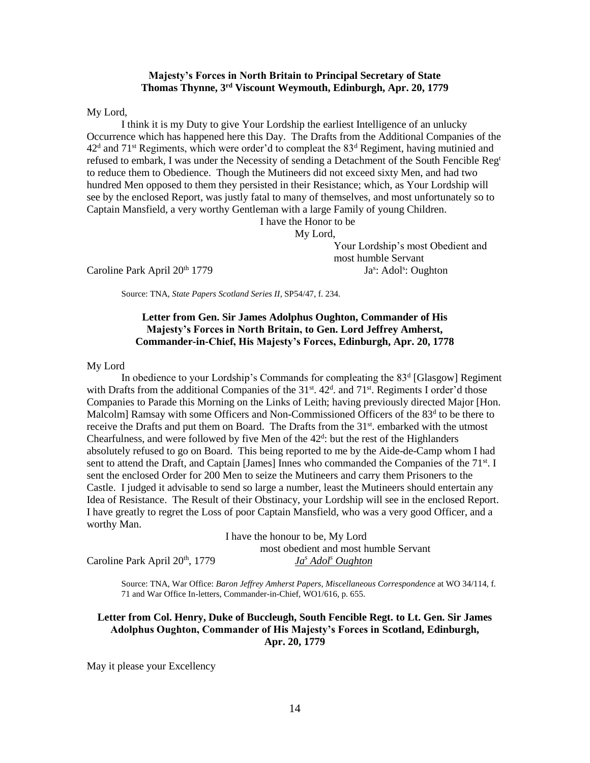#### **Majesty's Forces in North Britain to Principal Secretary of State Thomas Thynne, 3rd Viscount Weymouth, Edinburgh, Apr. 20, 1779**

My Lord,

I think it is my Duty to give Your Lordship the earliest Intelligence of an unlucky Occurrence which has happened here this Day. The Drafts from the Additional Companies of the  $42<sup>d</sup>$  and  $71<sup>st</sup>$  Regiments, which were order'd to compleat the  $83<sup>d</sup>$  Regiment, having mutinied and refused to embark, I was under the Necessity of sending a Detachment of the South Fencible Reg<sup>t</sup> to reduce them to Obedience. Though the Mutineers did not exceed sixty Men, and had two hundred Men opposed to them they persisted in their Resistance; which, as Your Lordship will see by the enclosed Report, was justly fatal to many of themselves, and most unfortunately so to Captain Mansfield, a very worthy Gentleman with a large Family of young Children.

I have the Honor to be

My Lord,

Caroline Park April 20<sup>th</sup> 1779

Your Lordship's most Obedient and most humble Servant : Adol<sup>s</sup>: Oughton

Source: TNA, *State Papers Scotland Series II*, SP54/47, f. 234.

#### **Letter from Gen. Sir James Adolphus Oughton, Commander of His Majesty's Forces in North Britain, to Gen. Lord Jeffrey Amherst, Commander-in-Chief, His Majesty's Forces, Edinburgh, Apr. 20, 1778**

My Lord

In obedience to your Lordship's Commands for compleating the 83<sup>d</sup> [Glasgow] Regiment with Drafts from the additional Companies of the 31<sup>st</sup>. 42<sup>d</sup>. and 71<sup>st</sup>. Regiments I order'd those Companies to Parade this Morning on the Links of Leith; having previously directed Major [Hon. Malcolm] Ramsay with some Officers and Non-Commissioned Officers of the 83<sup>d</sup> to be there to receive the Drafts and put them on Board. The Drafts from the  $31<sup>st</sup>$ , embarked with the utmost Chearfulness, and were followed by five Men of the  $42<sup>d</sup>$ : but the rest of the Highlanders absolutely refused to go on Board. This being reported to me by the Aide-de-Camp whom I had sent to attend the Draft, and Captain [James] Innes who commanded the Companies of the  $71<sup>st</sup>$ . I sent the enclosed Order for 200 Men to seize the Mutineers and carry them Prisoners to the Castle. I judged it advisable to send so large a number, least the Mutineers should entertain any Idea of Resistance. The Result of their Obstinacy, your Lordship will see in the enclosed Report. I have greatly to regret the Loss of poor Captain Mansfield, who was a very good Officer, and a worthy Man.

I have the honour to be, My Lord most obedient and most humble Servant Caroline Park April 20th, 1779 *Ja<sup>s</sup> Adol<sup>s</sup> Oughton*

Source: TNA, War Office: *Baron Jeffrey Amherst Papers, Miscellaneous Correspondence* at WO 34/114, f. 71 and War Office In-letters, Commander-in-Chief, WO1/616, p. 655.

**Letter from Col. Henry, Duke of Buccleugh, South Fencible Regt. to Lt. Gen. Sir James Adolphus Oughton, Commander of His Majesty's Forces in Scotland, Edinburgh, Apr. 20, 1779**

May it please your Excellency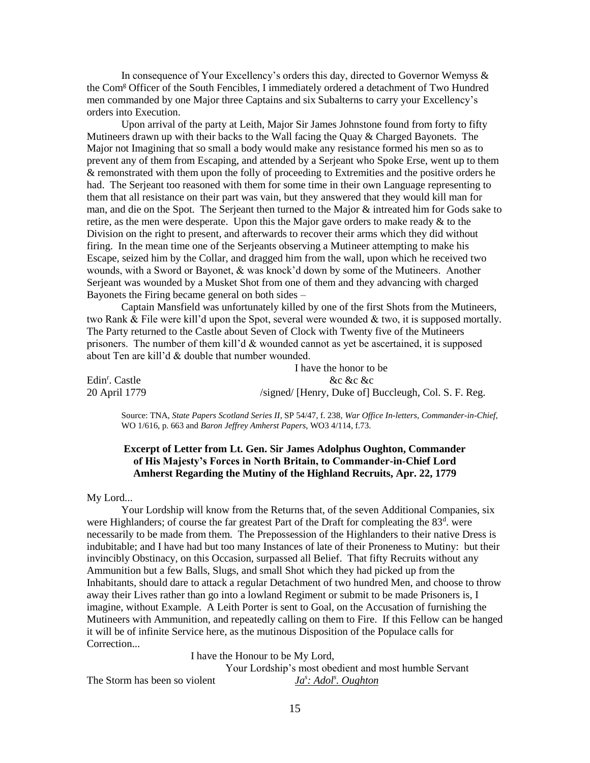In consequence of Your Excellency's orders this day, directed to Governor Wemyss & the Com<sup>g</sup> Officer of the South Fencibles, I immediately ordered a detachment of Two Hundred men commanded by one Major three Captains and six Subalterns to carry your Excellency's orders into Execution.

Upon arrival of the party at Leith, Major Sir James Johnstone found from forty to fifty Mutineers drawn up with their backs to the Wall facing the Quay  $\&$  Charged Bayonets. The Major not Imagining that so small a body would make any resistance formed his men so as to prevent any of them from Escaping, and attended by a Serjeant who Spoke Erse, went up to them & remonstrated with them upon the folly of proceeding to Extremities and the positive orders he had. The Serjeant too reasoned with them for some time in their own Language representing to them that all resistance on their part was vain, but they answered that they would kill man for man, and die on the Spot. The Serjeant then turned to the Major & intreated him for Gods sake to retire, as the men were desperate. Upon this the Major gave orders to make ready  $\&$  to the Division on the right to present, and afterwards to recover their arms which they did without firing. In the mean time one of the Serjeants observing a Mutineer attempting to make his Escape, seized him by the Collar, and dragged him from the wall, upon which he received two wounds, with a Sword or Bayonet, & was knock'd down by some of the Mutineers. Another Serjeant was wounded by a Musket Shot from one of them and they advancing with charged Bayonets the Firing became general on both sides –

Captain Mansfield was unfortunately killed by one of the first Shots from the Mutineers, two Rank  $\&$  File were kill'd upon the Spot, several were wounded  $\&$  two, it is supposed mortally. The Party returned to the Castle about Seven of Clock with Twenty five of the Mutineers prisoners. The number of them kill'd  $&$  wounded cannot as yet be ascertained, it is supposed about Ten are kill'd & double that number wounded.

|                            | I have the honor to be                               |  |  |
|----------------------------|------------------------------------------------------|--|--|
| Edin <sup>r</sup> . Castle | &c &c &c                                             |  |  |
| 20 April 1779              | /signed/ [Henry, Duke of] Buccleugh, Col. S. F. Reg. |  |  |

Source: TNA, *State Papers Scotland Series II*, SP 54/47, f. 238, *War Office In-letters, Commander-in-Chief,* WO 1/616, p. 663 and *Baron Jeffrey Amherst Papers*, WO3 4/114, f.73.

#### **Excerpt of Letter from Lt. Gen. Sir James Adolphus Oughton, Commander of His Majesty's Forces in North Britain, to Commander-in-Chief Lord Amherst Regarding the Mutiny of the Highland Recruits, Apr. 22, 1779**

My Lord...

Your Lordship will know from the Returns that, of the seven Additional Companies, six were Highlanders; of course the far greatest Part of the Draft for compleating the  $83<sup>d</sup>$ . were necessarily to be made from them. The Prepossession of the Highlanders to their native Dress is indubitable; and I have had but too many Instances of late of their Proneness to Mutiny: but their invincibly Obstinacy, on this Occasion, surpassed all Belief. That fifty Recruits without any Ammunition but a few Balls, Slugs, and small Shot which they had picked up from the Inhabitants, should dare to attack a regular Detachment of two hundred Men, and choose to throw away their Lives rather than go into a lowland Regiment or submit to be made Prisoners is, I imagine, without Example. A Leith Porter is sent to Goal, on the Accusation of furnishing the Mutineers with Ammunition, and repeatedly calling on them to Fire. If this Fellow can be hanged it will be of infinite Service here, as the mutinous Disposition of the Populace calls for Correction...

I have the Honour to be My Lord,

Your Lordship's most obedient and most humble Servant *: Adol<sup>s</sup> . Oughton*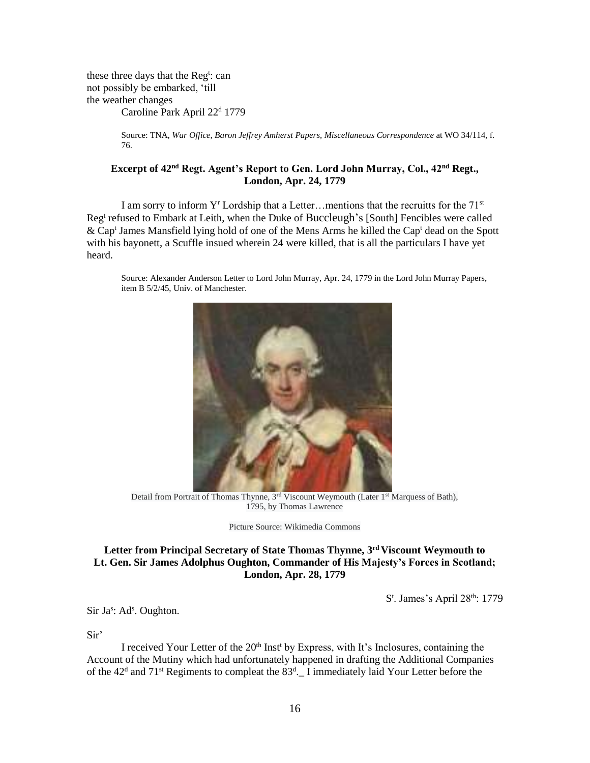these three days that the Reg<sup>t</sup>: can not possibly be embarked, 'till the weather changes

Caroline Park April 22<sup>d</sup> 1779

Source: TNA, *War Office, Baron Jeffrey Amherst Papers, Miscellaneous Correspondence* at WO 34/114, f. 76.

#### **Excerpt of 42nd Regt. Agent's Report to Gen. Lord John Murray, Col., 42nd Regt., London, Apr. 24, 1779**

I am sorry to inform  $Y^r$  Lordship that a Letter…mentions that the recruitts for the  $71^{st}$ Reg<sup>t</sup> refused to Embark at Leith, when the Duke of Buccleugh's [South] Fencibles were called & Cap<sup>t</sup> James Mansfield lying hold of one of the Mens Arms he killed the Cap<sup>t</sup> dead on the Spott with his bayonett, a Scuffle insued wherein 24 were killed, that is all the particulars I have yet heard.

Source: Alexander Anderson Letter to Lord John Murray, Apr. 24, 1779 in the Lord John Murray Papers, item B 5/2/45, Univ. of Manchester.



Detail from Portrait of Thomas Thynne, 3<sup>rd</sup> Viscount Weymouth (Later 1<sup>st</sup> Marquess of Bath), 1795, by Thomas Lawrence

Picture Source: Wikimedia Commons

## **Letter from Principal Secretary of State Thomas Thynne, 3rd Viscount Weymouth to Lt. Gen. Sir James Adolphus Oughton, Commander of His Majesty's Forces in Scotland; London, Apr. 28, 1779**

S<sup>t</sup>. James's April 28<sup>th</sup>: 1779

Sir Ja<sup>s</sup>: Ad<sup>s</sup>. Oughton.

Sir'

I received Your Letter of the  $20<sup>th</sup>$  Inst<sup>t</sup> by Express, with It's Inclosures, containing the Account of the Mutiny which had unfortunately happened in drafting the Additional Companies of the  $42<sup>d</sup>$  and  $71<sup>st</sup>$  Regiments to compleat the  $83<sup>d</sup>$ . I immediately laid Your Letter before the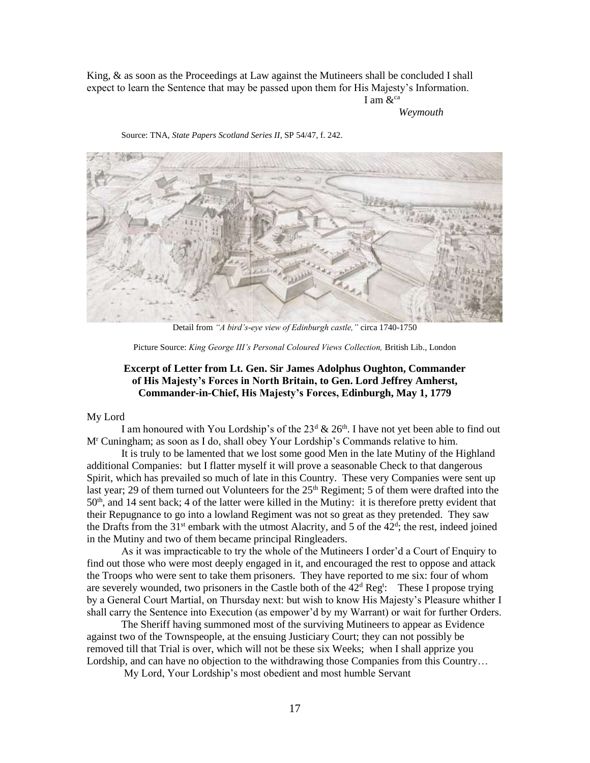King, & as soon as the Proceedings at Law against the Mutineers shall be concluded I shall expect to learn the Sentence that may be passed upon them for His Majesty's Information. I am  $\&^{\text{ca}}$ 

*Weymouth*



Source: TNA, *State Papers Scotland Series II*, SP 54/47, f. 242.

Detail from *"A bird's-eye view of Edinburgh castle,"* circa 1740-1750

Picture Source: *King George III's Personal Coloured Views Collection,* British Lib., London

#### **Excerpt of Letter from Lt. Gen. Sir James Adolphus Oughton, Commander of His Majesty's Forces in North Britain, to Gen. Lord Jeffrey Amherst, Commander-in-Chief, His Majesty's Forces, Edinburgh, May 1, 1779**

#### My Lord

I am honoured with You Lordship's of the  $23<sup>d</sup>$  &  $26<sup>th</sup>$ . I have not yet been able to find out M<sup>r</sup> Cuningham; as soon as I do, shall obey Your Lordship's Commands relative to him.

It is truly to be lamented that we lost some good Men in the late Mutiny of the Highland additional Companies: but I flatter myself it will prove a seasonable Check to that dangerous Spirit, which has prevailed so much of late in this Country. These very Companies were sent up last year; 29 of them turned out Volunteers for the 25<sup>th</sup> Regiment; 5 of them were drafted into the  $50<sup>th</sup>$ , and 14 sent back; 4 of the latter were killed in the Mutiny: it is therefore pretty evident that their Repugnance to go into a lowland Regiment was not so great as they pretended. They saw the Drafts from the  $31<sup>st</sup>$  embark with the utmost Alacrity, and 5 of the  $42<sup>d</sup>$ ; the rest, indeed joined in the Mutiny and two of them became principal Ringleaders.

As it was impracticable to try the whole of the Mutineers I order'd a Court of Enquiry to find out those who were most deeply engaged in it, and encouraged the rest to oppose and attack the Troops who were sent to take them prisoners. They have reported to me six: four of whom are severely wounded, two prisoners in the Castle both of the  $42<sup>d</sup>$  Reg<sup>t</sup>: These I propose trying by a General Court Martial, on Thursday next: but wish to know His Majesty's Pleasure whither I shall carry the Sentence into Execution (as empower'd by my Warrant) or wait for further Orders.

The Sheriff having summoned most of the surviving Mutineers to appear as Evidence against two of the Townspeople, at the ensuing Justiciary Court; they can not possibly be removed till that Trial is over, which will not be these six Weeks; when I shall apprize you Lordship, and can have no objection to the withdrawing those Companies from this Country...

My Lord, Your Lordship's most obedient and most humble Servant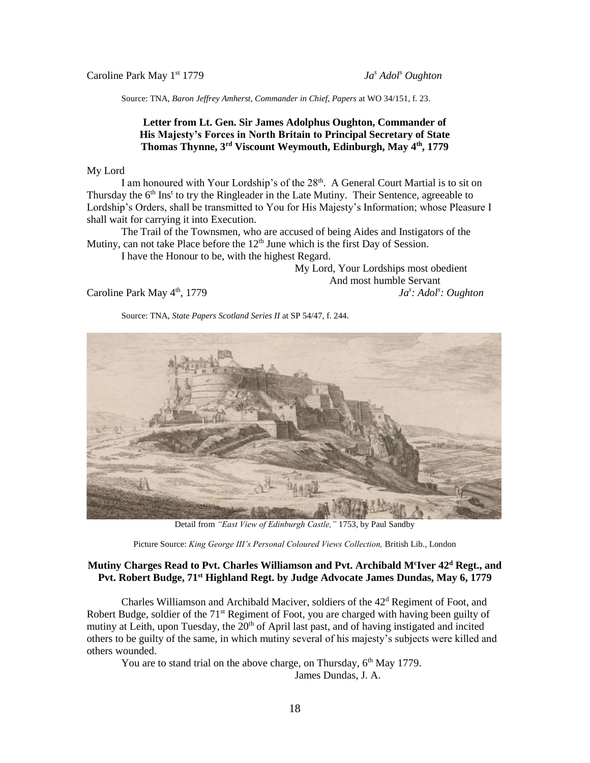Caroline Park May 1st 1779 *Ja<sup>s</sup> Adol<sup>s</sup> Oughton*

Source: TNA, *Baron Jeffrey Amherst, Commander in Chief, Papers* at WO 34/151, f. 23.

#### **Letter from Lt. Gen. Sir James Adolphus Oughton, Commander of His Majesty's Forces in North Britain to Principal Secretary of State Thomas Thynne, 3rd Viscount Weymouth, Edinburgh, May 4th, 1779**

#### My Lord

I am honoured with Your Lordship's of the  $28<sup>th</sup>$ . A General Court Martial is to sit on Thursday the 6<sup>th</sup> Ins<sup>t</sup> to try the Ringleader in the Late Mutiny. Their Sentence, agreeable to Lordship's Orders, shall be transmitted to You for His Majesty's Information; whose Pleasure I shall wait for carrying it into Execution.

The Trail of the Townsmen, who are accused of being Aides and Instigators of the Mutiny, can not take Place before the  $12<sup>th</sup>$  June which is the first Day of Session.

I have the Honour to be, with the highest Regard.

My Lord, Your Lordships most obedient And most humble Servant *: Adol<sup>s</sup> : Oughton*

Caroline Park May  $4<sup>th</sup>$ , 1779



Source: TNA, *State Papers Scotland Series II* at SP 54/47, f. 244.

Detail from *"East View of Edinburgh Castle,"* 1753, by Paul Sandby

Picture Source: *King George III's Personal Coloured Views Collection,* British Lib., London

#### **Mutiny Charges Read to Pvt. Charles Williamson and Pvt. Archibald M<sup>c</sup> Iver 42<sup>d</sup> Regt., and Pvt. Robert Budge, 71st Highland Regt. by Judge Advocate James Dundas, May 6, 1779**

Charles Williamson and Archibald Maciver, soldiers of the  $42<sup>d</sup>$  Regiment of Foot, and Robert Budge, soldier of the 71<sup>st</sup> Regiment of Foot, you are charged with having been guilty of mutiny at Leith, upon Tuesday, the 20<sup>th</sup> of April last past, and of having instigated and incited others to be guilty of the same, in which mutiny several of his majesty's subjects were killed and others wounded.

You are to stand trial on the above charge, on Thursday, 6<sup>th</sup> May 1779.

James Dundas, J. A.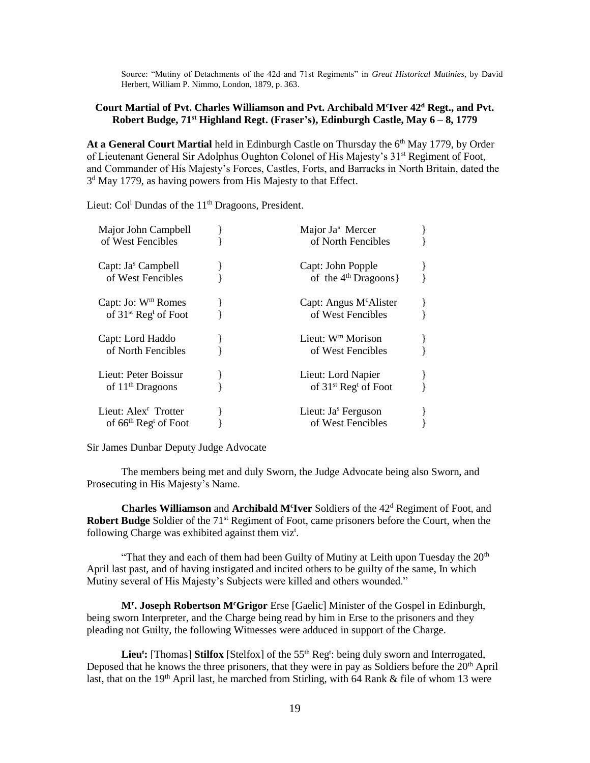Source: "Mutiny of Detachments of the 42d and 71st Regiments" in *Great Historical Mutinies*, by David Herbert, William P. Nimmo, London, 1879, p. 363.

#### **Court Martial of Pvt. Charles Williamson and Pvt. Archibald M<sup>c</sup> Iver 42<sup>d</sup> Regt., and Pvt. Robert Budge, 71st Highland Regt. (Fraser's), Edinburgh Castle, May 6 – 8, 1779**

At a General Court Martial held in Edinburgh Castle on Thursday the 6<sup>th</sup> May 1779, by Order of Lieutenant General Sir Adolphus Oughton Colonel of His Majesty's 31<sup>st</sup> Regiment of Foot, and Commander of His Majesty's Forces, Castles, Forts, and Barracks in North Britain, dated the 3<sup>d</sup> May 1779, as having powers from His Majesty to that Effect.

Lieut: Col<sup>l</sup> Dundas of the 11<sup>th</sup> Dragoons, President.

| Major John Campbell<br>of West Fencibles                               | Major Ja <sup>s</sup> Mercer<br>of North Fencibles       |  |
|------------------------------------------------------------------------|----------------------------------------------------------|--|
| Capt: Ja <sup>s</sup> Campbell<br>of West Fencibles                    | Capt: John Popple<br>of the $4th$ Dragoons }             |  |
| Capt: Jo: $W^m$ Romes<br>of 31 <sup>st</sup> Reg <sup>t</sup> of Foot  | Capt: Angus M <sup>c</sup> Alister<br>of West Fencibles  |  |
| Capt: Lord Haddo<br>of North Fencibles                                 | Lieut: $W^m$ Morison<br>of West Fencibles                |  |
| Lieut: Peter Boissur<br>of $11th$ Dragoons                             | Lieut: Lord Napier<br>of $31st$ Reg <sup>t</sup> of Foot |  |
| Lieut: Alex <sup>r</sup> Trotter<br>of $66th$ Reg <sup>t</sup> of Foot | Lieut: Ja <sup>s</sup> Ferguson<br>of West Fencibles     |  |

Sir James Dunbar Deputy Judge Advocate

The members being met and duly Sworn, the Judge Advocate being also Sworn, and Prosecuting in His Majesty's Name.

**Charles Williamson** and **Archibald M<sup>c</sup>Iver** Soldiers of the 42<sup>d</sup> Regiment of Foot, and **Robert Budge** Soldier of the 71<sup>st</sup> Regiment of Foot, came prisoners before the Court, when the following Charge was exhibited against them viz<sup>t</sup>.

"That they and each of them had been Guilty of Mutiny at Leith upon Tuesday the  $20<sup>th</sup>$ April last past, and of having instigated and incited others to be guilty of the same, In which Mutiny several of His Majesty's Subjects were killed and others wounded."

**M<sup>r</sup> . Joseph Robertson M<sup>c</sup>Grigor** Erse [Gaelic] Minister of the Gospel in Edinburgh, being sworn Interpreter, and the Charge being read by him in Erse to the prisoners and they pleading not Guilty, the following Witnesses were adduced in support of the Charge.

Lieu<sup>t</sup>: [Thomas] Stilfox [Stelfox] of the 55<sup>th</sup> Reg<sup>t</sup>: being duly sworn and Interrogated, Deposed that he knows the three prisoners, that they were in pay as Soldiers before the  $20<sup>th</sup>$  April last, that on the 19<sup>th</sup> April last, he marched from Stirling, with 64 Rank & file of whom 13 were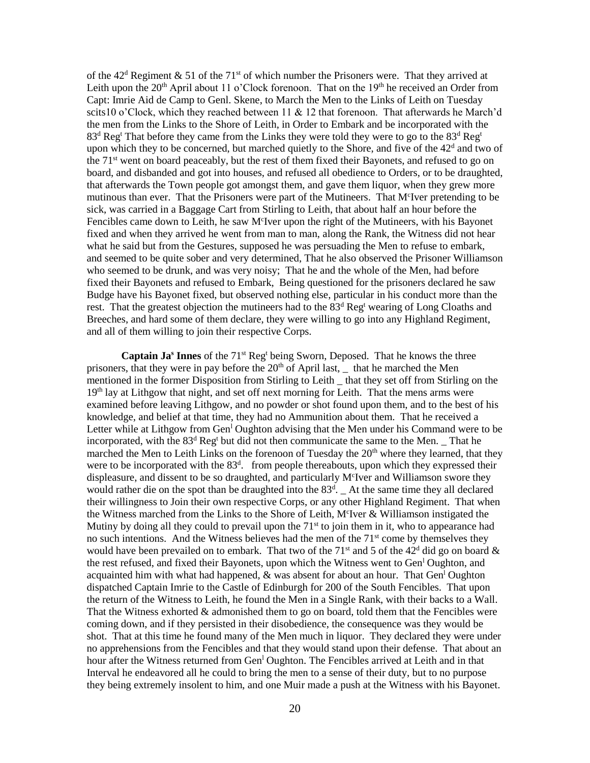of the  $42<sup>d</sup>$  Regiment & 51 of the 71<sup>st</sup> of which number the Prisoners were. That they arrived at Leith upon the  $20<sup>th</sup>$  April about 11 o'Clock forenoon. That on the 19<sup>th</sup> he received an Order from Capt: Imrie Aid de Camp to Genl. Skene, to March the Men to the Links of Leith on Tuesday scits10 o'Clock, which they reached between 11 & 12 that forenoon. That afterwards he March'd the men from the Links to the Shore of Leith, in Order to Embark and be incorporated with the  $83<sup>d</sup>$  Reg<sup>t</sup> That before they came from the Links they were told they were to go to the  $83<sup>d</sup>$  Reg<sup>t</sup> upon which they to be concerned, but marched quietly to the Shore, and five of the  $42<sup>d</sup>$  and two of the  $71<sup>st</sup>$  went on board peaceably, but the rest of them fixed their Bayonets, and refused to go on board, and disbanded and got into houses, and refused all obedience to Orders, or to be draughted, that afterwards the Town people got amongst them, and gave them liquor, when they grew more mutinous than ever. That the Prisoners were part of the Mutineers. That M<sup>c</sup>Iver pretending to be sick, was carried in a Baggage Cart from Stirling to Leith, that about half an hour before the Fencibles came down to Leith, he saw M<sup>c</sup>Iver upon the right of the Mutineers, with his Bayonet fixed and when they arrived he went from man to man, along the Rank, the Witness did not hear what he said but from the Gestures, supposed he was persuading the Men to refuse to embark, and seemed to be quite sober and very determined, That he also observed the Prisoner Williamson who seemed to be drunk, and was very noisy; That he and the whole of the Men, had before fixed their Bayonets and refused to Embark, Being questioned for the prisoners declared he saw Budge have his Bayonet fixed, but observed nothing else, particular in his conduct more than the rest. That the greatest objection the mutineers had to the  $83<sup>d</sup>$  Reg<sup>t</sup> wearing of Long Cloaths and Breeches, and hard some of them declare, they were willing to go into any Highland Regiment, and all of them willing to join their respective Corps.

**Captain Ja<sup>s</sup> Innes** of the 71st Reg<sup>t</sup> being Sworn, Deposed. That he knows the three prisoners, that they were in pay before the  $20<sup>th</sup>$  of April last, that he marched the Men mentioned in the former Disposition from Stirling to Leith that they set off from Stirling on the 19<sup>th</sup> lay at Lithgow that night, and set off next morning for Leith. That the mens arms were examined before leaving Lithgow, and no powder or shot found upon them, and to the best of his knowledge, and belief at that time, they had no Ammunition about them. That he received a Letter while at Lithgow from Gen<sup>1</sup> Oughton advising that the Men under his Command were to be incorporated, with the  $83<sup>d</sup>$  Reg<sup>t</sup> but did not then communicate the same to the Men. That he marched the Men to Leith Links on the forenoon of Tuesday the  $20<sup>th</sup>$  where they learned, that they were to be incorporated with the 83<sup>d</sup>. from people thereabouts, upon which they expressed their displeasure, and dissent to be so draughted, and particularly M<sup>c</sup>Iver and Williamson swore they would rather die on the spot than be draughted into the  $83<sup>d</sup>$ . At the same time they all declared their willingness to Join their own respective Corps, or any other Highland Regiment. That when the Witness marched from the Links to the Shore of Leith, M<sup>c</sup>Iver & Williamson instigated the Mutiny by doing all they could to prevail upon the  $71<sup>st</sup>$  to join them in it, who to appearance had no such intentions. And the Witness believes had the men of the  $71<sup>st</sup>$  come by themselves they would have been prevailed on to embark. That two of the 71<sup>st</sup> and 5 of the 42<sup>d</sup> did go on board  $\&$ the rest refused, and fixed their Bayonets, upon which the Witness went to Gen<sup>1</sup> Oughton, and acquainted him with what had happened,  $\&$  was absent for about an hour. That Gen<sup>1</sup> Oughton dispatched Captain Imrie to the Castle of Edinburgh for 200 of the South Fencibles. That upon the return of the Witness to Leith, he found the Men in a Single Rank, with their backs to a Wall. That the Witness exhorted  $\&$  admonished them to go on board, told them that the Fencibles were coming down, and if they persisted in their disobedience, the consequence was they would be shot. That at this time he found many of the Men much in liquor. They declared they were under no apprehensions from the Fencibles and that they would stand upon their defense. That about an hour after the Witness returned from Gen<sup>1</sup> Oughton. The Fencibles arrived at Leith and in that Interval he endeavored all he could to bring the men to a sense of their duty, but to no purpose they being extremely insolent to him, and one Muir made a push at the Witness with his Bayonet.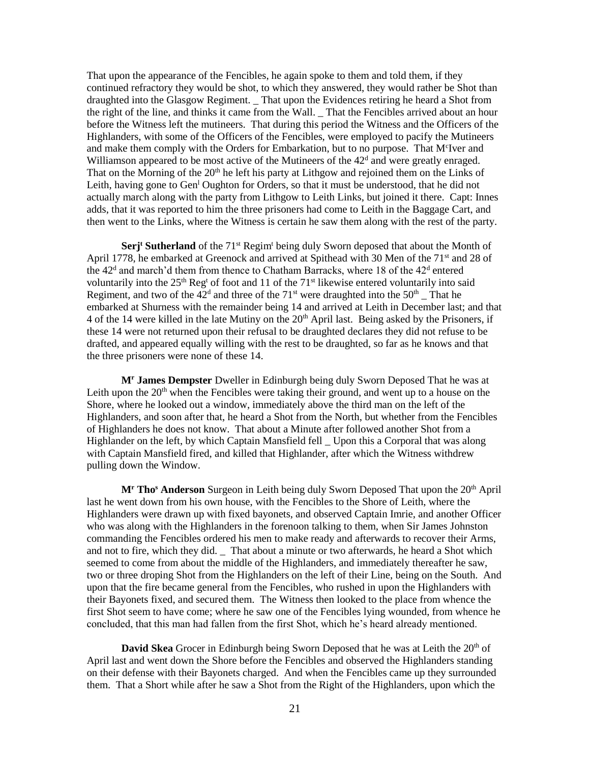That upon the appearance of the Fencibles, he again spoke to them and told them, if they continued refractory they would be shot, to which they answered, they would rather be Shot than draughted into the Glasgow Regiment. \_ That upon the Evidences retiring he heard a Shot from the right of the line, and thinks it came from the Wall. \_ That the Fencibles arrived about an hour before the Witness left the mutineers. That during this period the Witness and the Officers of the Highlanders, with some of the Officers of the Fencibles, were employed to pacify the Mutineers and make them comply with the Orders for Embarkation, but to no purpose. That M<sup>c</sup>Iver and Williamson appeared to be most active of the Mutineers of the 42<sup>d</sup> and were greatly enraged. That on the Morning of the  $20<sup>th</sup>$  he left his party at Lithgow and rejoined them on the Links of Leith, having gone to Gen<sup>1</sup> Oughton for Orders, so that it must be understood, that he did not actually march along with the party from Lithgow to Leith Links, but joined it there. Capt: Innes adds, that it was reported to him the three prisoners had come to Leith in the Baggage Cart, and then went to the Links, where the Witness is certain he saw them along with the rest of the party.

**Serj<sup>t</sup> Sutherland** of the 71<sup>st</sup> Regim<sup>t</sup> being duly Sworn deposed that about the Month of April 1778, he embarked at Greenock and arrived at Spithead with 30 Men of the 71<sup>st</sup> and 28 of the  $42<sup>d</sup>$  and march'd them from thence to Chatham Barracks, where 18 of the  $42<sup>d</sup>$  entered voluntarily into the  $25<sup>th</sup>$  Reg<sup>t</sup> of foot and 11 of the 71<sup>st</sup> likewise entered voluntarily into said Regiment, and two of the  $42<sup>d</sup>$  and three of the  $71<sup>st</sup>$  were draughted into the  $50<sup>th</sup>$  That he embarked at Shurness with the remainder being 14 and arrived at Leith in December last; and that 4 of the 14 were killed in the late Mutiny on the 20<sup>th</sup> April last. Being asked by the Prisoners, if these 14 were not returned upon their refusal to be draughted declares they did not refuse to be drafted, and appeared equally willing with the rest to be draughted, so far as he knows and that the three prisoners were none of these 14.

**M<sup>r</sup> James Dempster** Dweller in Edinburgh being duly Sworn Deposed That he was at Leith upon the  $20<sup>th</sup>$  when the Fencibles were taking their ground, and went up to a house on the Shore, where he looked out a window, immediately above the third man on the left of the Highlanders, and soon after that, he heard a Shot from the North, but whether from the Fencibles of Highlanders he does not know. That about a Minute after followed another Shot from a Highlander on the left, by which Captain Mansfield fell \_ Upon this a Corporal that was along with Captain Mansfield fired, and killed that Highlander, after which the Witness withdrew pulling down the Window.

**M<sup>r</sup> Tho<sup>s</sup> Anderson** Surgeon in Leith being duly Sworn Deposed That upon the 20th April last he went down from his own house, with the Fencibles to the Shore of Leith, where the Highlanders were drawn up with fixed bayonets, and observed Captain Imrie, and another Officer who was along with the Highlanders in the forenoon talking to them, when Sir James Johnston commanding the Fencibles ordered his men to make ready and afterwards to recover their Arms, and not to fire, which they did. \_ That about a minute or two afterwards, he heard a Shot which seemed to come from about the middle of the Highlanders, and immediately thereafter he saw, two or three droping Shot from the Highlanders on the left of their Line, being on the South. And upon that the fire became general from the Fencibles, who rushed in upon the Highlanders with their Bayonets fixed, and secured them. The Witness then looked to the place from whence the first Shot seem to have come; where he saw one of the Fencibles lying wounded, from whence he concluded, that this man had fallen from the first Shot, which he's heard already mentioned.

**David Skea** Grocer in Edinburgh being Sworn Deposed that he was at Leith the 20<sup>th</sup> of April last and went down the Shore before the Fencibles and observed the Highlanders standing on their defense with their Bayonets charged. And when the Fencibles came up they surrounded them. That a Short while after he saw a Shot from the Right of the Highlanders, upon which the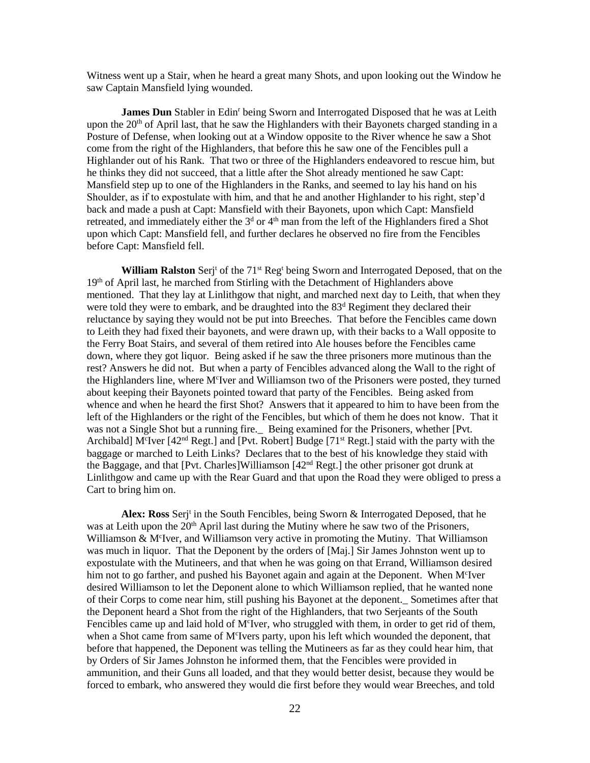Witness went up a Stair, when he heard a great many Shots, and upon looking out the Window he saw Captain Mansfield lying wounded.

**James Dun** Stabler in Edin<sup>r</sup> being Sworn and Interrogated Disposed that he was at Leith upon the  $20<sup>th</sup>$  of April last, that he saw the Highlanders with their Bayonets charged standing in a Posture of Defense, when looking out at a Window opposite to the River whence he saw a Shot come from the right of the Highlanders, that before this he saw one of the Fencibles pull a Highlander out of his Rank. That two or three of the Highlanders endeavored to rescue him, but he thinks they did not succeed, that a little after the Shot already mentioned he saw Capt: Mansfield step up to one of the Highlanders in the Ranks, and seemed to lay his hand on his Shoulder, as if to expostulate with him, and that he and another Highlander to his right, step'd back and made a push at Capt: Mansfield with their Bayonets, upon which Capt: Mansfield retreated, and immediately either the  $3<sup>d</sup>$  or  $4<sup>th</sup>$  man from the left of the Highlanders fired a Shot upon which Capt: Mansfield fell, and further declares he observed no fire from the Fencibles before Capt: Mansfield fell.

**William Ralston** Serj<sup>t</sup> of the 71<sup>st</sup> Reg<sup>t</sup> being Sworn and Interrogated Deposed, that on the 19th of April last, he marched from Stirling with the Detachment of Highlanders above mentioned. That they lay at Linlithgow that night, and marched next day to Leith, that when they were told they were to embark, and be draughted into the  $83<sup>d</sup>$  Regiment they declared their reluctance by saying they would not be put into Breeches. That before the Fencibles came down to Leith they had fixed their bayonets, and were drawn up, with their backs to a Wall opposite to the Ferry Boat Stairs, and several of them retired into Ale houses before the Fencibles came down, where they got liquor. Being asked if he saw the three prisoners more mutinous than the rest? Answers he did not. But when a party of Fencibles advanced along the Wall to the right of the Highlanders line, where M<sup>c</sup>Iver and Williamson two of the Prisoners were posted, they turned about keeping their Bayonets pointed toward that party of the Fencibles. Being asked from whence and when he heard the first Shot? Answers that it appeared to him to have been from the left of the Highlanders or the right of the Fencibles, but which of them he does not know. That it was not a Single Shot but a running fire. Being examined for the Prisoners, whether [Pvt.] Archibald] M<sup>c</sup>Iver [42<sup>nd</sup> Regt.] and [Pvt. Robert] Budge [71<sup>st</sup> Regt.] staid with the party with the baggage or marched to Leith Links? Declares that to the best of his knowledge they staid with the Baggage, and that [Pvt. Charles]Williamson [42nd Regt.] the other prisoner got drunk at Linlithgow and came up with the Rear Guard and that upon the Road they were obliged to press a Cart to bring him on.

Alex: Ross Serj<sup>t</sup> in the South Fencibles, being Sworn & Interrogated Deposed, that he was at Leith upon the  $20<sup>th</sup>$  April last during the Mutiny where he saw two of the Prisoners, Williamson & M<sup>c</sup>Iver, and Williamson very active in promoting the Mutiny. That Williamson was much in liquor. That the Deponent by the orders of [Maj.] Sir James Johnston went up to expostulate with the Mutineers, and that when he was going on that Errand, Williamson desired him not to go farther, and pushed his Bayonet again and again at the Deponent. When M<sup>c</sup>Iver desired Williamson to let the Deponent alone to which Williamson replied, that he wanted none of their Corps to come near him, still pushing his Bayonet at the deponent.\_ Sometimes after that the Deponent heard a Shot from the right of the Highlanders, that two Serjeants of the South Fencibles came up and laid hold of M<sup>c</sup>Iver, who struggled with them, in order to get rid of them, when a Shot came from same of M<sup>c</sup>Ivers party, upon his left which wounded the deponent, that before that happened, the Deponent was telling the Mutineers as far as they could hear him, that by Orders of Sir James Johnston he informed them, that the Fencibles were provided in ammunition, and their Guns all loaded, and that they would better desist, because they would be forced to embark, who answered they would die first before they would wear Breeches, and told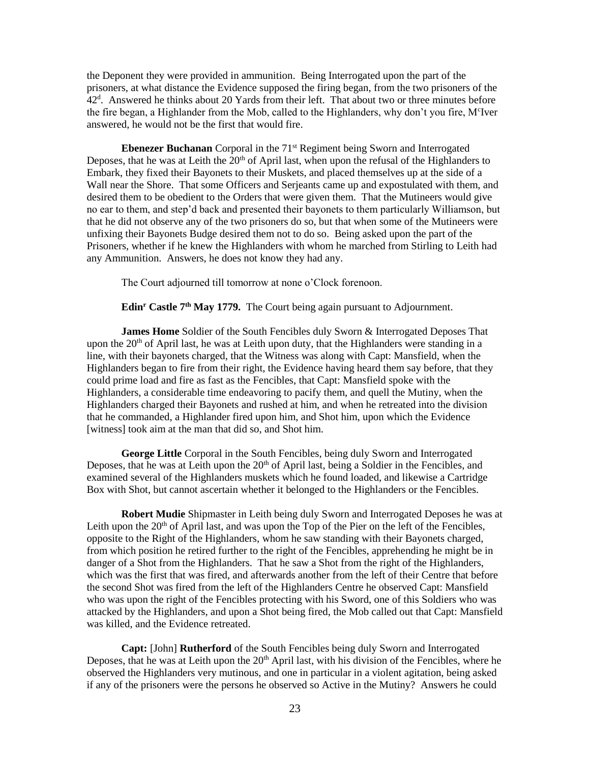the Deponent they were provided in ammunition. Being Interrogated upon the part of the prisoners, at what distance the Evidence supposed the firing began, from the two prisoners of the 42<sup>d</sup>. Answered he thinks about 20 Yards from their left. That about two or three minutes before the fire began, a Highlander from the Mob, called to the Highlanders, why don't you fire, M<sup>c</sup>Iver answered, he would not be the first that would fire.

**Ebenezer Buchanan** Corporal in the 71<sup>st</sup> Regiment being Sworn and Interrogated Deposes, that he was at Leith the  $20<sup>th</sup>$  of April last, when upon the refusal of the Highlanders to Embark, they fixed their Bayonets to their Muskets, and placed themselves up at the side of a Wall near the Shore. That some Officers and Serjeants came up and expostulated with them, and desired them to be obedient to the Orders that were given them. That the Mutineers would give no ear to them, and step'd back and presented their bayonets to them particularly Williamson, but that he did not observe any of the two prisoners do so, but that when some of the Mutineers were unfixing their Bayonets Budge desired them not to do so. Being asked upon the part of the Prisoners, whether if he knew the Highlanders with whom he marched from Stirling to Leith had any Ammunition. Answers, he does not know they had any.

The Court adjourned till tomorrow at none o'Clock forenoon.

**Edin<sup>r</sup> Castle 7th May 1779.** The Court being again pursuant to Adjournment.

**James Home** Soldier of the South Fencibles duly Sworn & Interrogated Deposes That upon the  $20<sup>th</sup>$  of April last, he was at Leith upon duty, that the Highlanders were standing in a line, with their bayonets charged, that the Witness was along with Capt: Mansfield, when the Highlanders began to fire from their right, the Evidence having heard them say before, that they could prime load and fire as fast as the Fencibles, that Capt: Mansfield spoke with the Highlanders, a considerable time endeavoring to pacify them, and quell the Mutiny, when the Highlanders charged their Bayonets and rushed at him, and when he retreated into the division that he commanded, a Highlander fired upon him, and Shot him, upon which the Evidence [witness] took aim at the man that did so, and Shot him.

**George Little** Corporal in the South Fencibles, being duly Sworn and Interrogated Deposes, that he was at Leith upon the  $20<sup>th</sup>$  of April last, being a Soldier in the Fencibles, and examined several of the Highlanders muskets which he found loaded, and likewise a Cartridge Box with Shot, but cannot ascertain whether it belonged to the Highlanders or the Fencibles.

**Robert Mudie** Shipmaster in Leith being duly Sworn and Interrogated Deposes he was at Leith upon the  $20<sup>th</sup>$  of April last, and was upon the Top of the Pier on the left of the Fencibles, opposite to the Right of the Highlanders, whom he saw standing with their Bayonets charged, from which position he retired further to the right of the Fencibles, apprehending he might be in danger of a Shot from the Highlanders. That he saw a Shot from the right of the Highlanders, which was the first that was fired, and afterwards another from the left of their Centre that before the second Shot was fired from the left of the Highlanders Centre he observed Capt: Mansfield who was upon the right of the Fencibles protecting with his Sword, one of this Soldiers who was attacked by the Highlanders, and upon a Shot being fired, the Mob called out that Capt: Mansfield was killed, and the Evidence retreated.

**Capt:** [John] **Rutherford** of the South Fencibles being duly Sworn and Interrogated Deposes, that he was at Leith upon the 20<sup>th</sup> April last, with his division of the Fencibles, where he observed the Highlanders very mutinous, and one in particular in a violent agitation, being asked if any of the prisoners were the persons he observed so Active in the Mutiny? Answers he could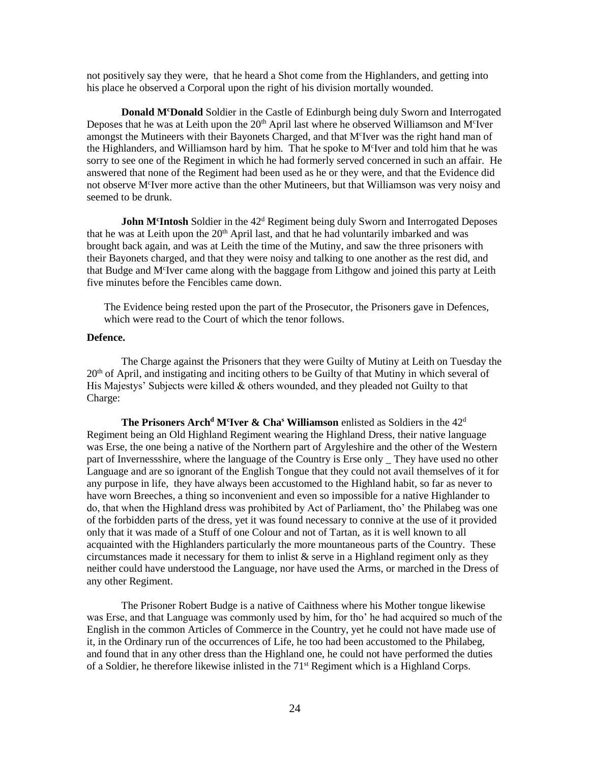not positively say they were, that he heard a Shot come from the Highlanders, and getting into his place he observed a Corporal upon the right of his division mortally wounded.

**Donald M<sup>c</sup>Donald** Soldier in the Castle of Edinburgh being duly Sworn and Interrogated Deposes that he was at Leith upon the  $20<sup>th</sup>$  April last where he observed Williamson and M<sup>c</sup>Iver amongst the Mutineers with their Bayonets Charged, and that M<sup>c</sup>Iver was the right hand man of the Highlanders, and Williamson hard by him. That he spoke to M<sup>c</sup>Iver and told him that he was sorry to see one of the Regiment in which he had formerly served concerned in such an affair. He answered that none of the Regiment had been used as he or they were, and that the Evidence did not observe M<sup>c</sup>Iver more active than the other Mutineers, but that Williamson was very noisy and seemed to be drunk.

**John M<sup>c</sup>Intosh** Soldier in the 42<sup>d</sup> Regiment being duly Sworn and Interrogated Deposes that he was at Leith upon the 20<sup>th</sup> April last, and that he had voluntarily imbarked and was brought back again, and was at Leith the time of the Mutiny, and saw the three prisoners with their Bayonets charged, and that they were noisy and talking to one another as the rest did, and that Budge and M<sup>c</sup>Iver came along with the baggage from Lithgow and joined this party at Leith five minutes before the Fencibles came down.

The Evidence being rested upon the part of the Prosecutor, the Prisoners gave in Defences, which were read to the Court of which the tenor follows.

#### **Defence.**

The Charge against the Prisoners that they were Guilty of Mutiny at Leith on Tuesday the  $20<sup>th</sup>$  of April, and instigating and inciting others to be Guilty of that Mutiny in which several of His Majestys' Subjects were killed & others wounded, and they pleaded not Guilty to that Charge:

**The Prisoners Arch<sup>d</sup> M<sup>c</sup> Iver & Cha<sup>s</sup> Williamson** enlisted as Soldiers in the 42<sup>d</sup> Regiment being an Old Highland Regiment wearing the Highland Dress, their native language was Erse, the one being a native of the Northern part of Argyleshire and the other of the Western part of Invernessshire, where the language of the Country is Erse only \_ They have used no other Language and are so ignorant of the English Tongue that they could not avail themselves of it for any purpose in life, they have always been accustomed to the Highland habit, so far as never to have worn Breeches, a thing so inconvenient and even so impossible for a native Highlander to do, that when the Highland dress was prohibited by Act of Parliament, tho' the Philabeg was one of the forbidden parts of the dress, yet it was found necessary to connive at the use of it provided only that it was made of a Stuff of one Colour and not of Tartan, as it is well known to all acquainted with the Highlanders particularly the more mountaneous parts of the Country. These circumstances made it necessary for them to inlist  $\&$  serve in a Highland regiment only as they neither could have understood the Language, nor have used the Arms, or marched in the Dress of any other Regiment.

The Prisoner Robert Budge is a native of Caithness where his Mother tongue likewise was Erse, and that Language was commonly used by him, for tho' he had acquired so much of the English in the common Articles of Commerce in the Country, yet he could not have made use of it, in the Ordinary run of the occurrences of Life, he too had been accustomed to the Philabeg, and found that in any other dress than the Highland one, he could not have performed the duties of a Soldier, he therefore likewise inlisted in the 71<sup>st</sup> Regiment which is a Highland Corps.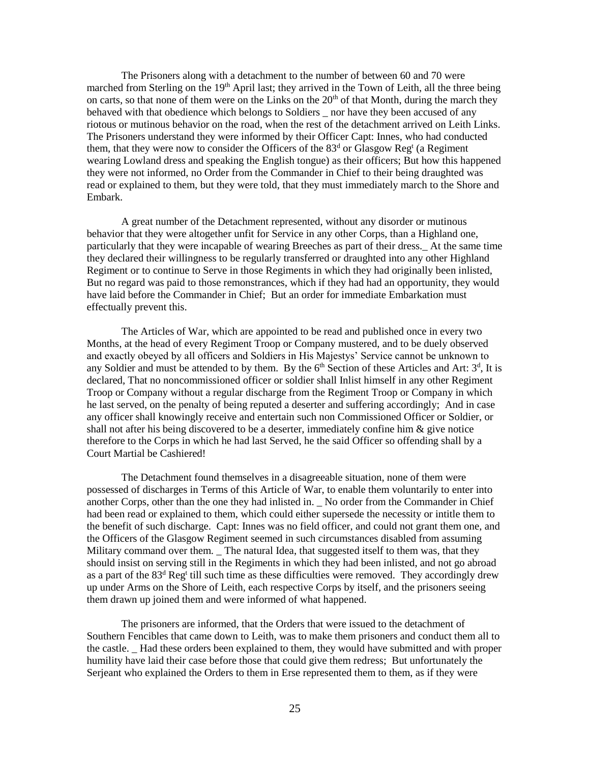The Prisoners along with a detachment to the number of between 60 and 70 were marched from Sterling on the  $19<sup>th</sup>$  April last; they arrived in the Town of Leith, all the three being on carts, so that none of them were on the Links on the  $20<sup>th</sup>$  of that Month, during the march they behaved with that obedience which belongs to Soldiers — nor have they been accused of any riotous or mutinous behavior on the road, when the rest of the detachment arrived on Leith Links. The Prisoners understand they were informed by their Officer Capt: Innes, who had conducted them, that they were now to consider the Officers of the  $83<sup>d</sup>$  or Glasgow Reg<sup>t</sup> (a Regiment wearing Lowland dress and speaking the English tongue) as their officers; But how this happened they were not informed, no Order from the Commander in Chief to their being draughted was read or explained to them, but they were told, that they must immediately march to the Shore and Embark.

A great number of the Detachment represented, without any disorder or mutinous behavior that they were altogether unfit for Service in any other Corps, than a Highland one, particularly that they were incapable of wearing Breeches as part of their dress.\_ At the same time they declared their willingness to be regularly transferred or draughted into any other Highland Regiment or to continue to Serve in those Regiments in which they had originally been inlisted, But no regard was paid to those remonstrances, which if they had had an opportunity, they would have laid before the Commander in Chief; But an order for immediate Embarkation must effectually prevent this.

The Articles of War, which are appointed to be read and published once in every two Months, at the head of every Regiment Troop or Company mustered, and to be duely observed and exactly obeyed by all officers and Soldiers in His Majestys' Service cannot be unknown to any Soldier and must be attended to by them. By the  $6<sup>th</sup>$  Section of these Articles and Art:  $3<sup>d</sup>$ , It is declared, That no noncommissioned officer or soldier shall Inlist himself in any other Regiment Troop or Company without a regular discharge from the Regiment Troop or Company in which he last served, on the penalty of being reputed a deserter and suffering accordingly; And in case any officer shall knowingly receive and entertain such non Commissioned Officer or Soldier, or shall not after his being discovered to be a deserter, immediately confine him & give notice therefore to the Corps in which he had last Served, he the said Officer so offending shall by a Court Martial be Cashiered!

The Detachment found themselves in a disagreeable situation, none of them were possessed of discharges in Terms of this Article of War, to enable them voluntarily to enter into another Corps, other than the one they had inlisted in. \_ No order from the Commander in Chief had been read or explained to them, which could either supersede the necessity or intitle them to the benefit of such discharge. Capt: Innes was no field officer, and could not grant them one, and the Officers of the Glasgow Regiment seemed in such circumstances disabled from assuming Military command over them. \_ The natural Idea, that suggested itself to them was, that they should insist on serving still in the Regiments in which they had been inlisted, and not go abroad as a part of the  $83<sup>d</sup>$  Reg<sup>t</sup> till such time as these difficulties were removed. They accordingly drew up under Arms on the Shore of Leith, each respective Corps by itself, and the prisoners seeing them drawn up joined them and were informed of what happened.

The prisoners are informed, that the Orders that were issued to the detachment of Southern Fencibles that came down to Leith, was to make them prisoners and conduct them all to the castle. \_ Had these orders been explained to them, they would have submitted and with proper humility have laid their case before those that could give them redress; But unfortunately the Serjeant who explained the Orders to them in Erse represented them to them, as if they were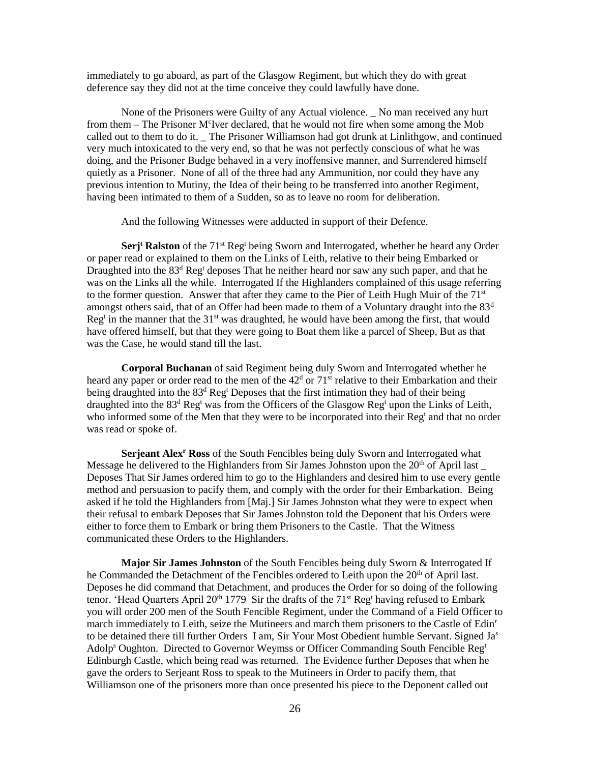immediately to go aboard, as part of the Glasgow Regiment, but which they do with great deference say they did not at the time conceive they could lawfully have done.

None of the Prisoners were Guilty of any Actual violence. \_ No man received any hurt from them – The Prisoner M<sup>c</sup>Iver declared, that he would not fire when some among the Mob called out to them to do it. \_ The Prisoner Williamson had got drunk at Linlithgow, and continued very much intoxicated to the very end, so that he was not perfectly conscious of what he was doing, and the Prisoner Budge behaved in a very inoffensive manner, and Surrendered himself quietly as a Prisoner. None of all of the three had any Ammunition, nor could they have any previous intention to Mutiny, the Idea of their being to be transferred into another Regiment, having been intimated to them of a Sudden, so as to leave no room for deliberation.

And the following Witnesses were adducted in support of their Defence.

**Serj<sup>t</sup> Ralston** of the 71<sup>st</sup> Reg<sup>t</sup> being Sworn and Interrogated, whether he heard any Order or paper read or explained to them on the Links of Leith, relative to their being Embarked or Draughted into the 83<sup>d</sup> Reg<sup>t</sup> deposes That he neither heard nor saw any such paper, and that he was on the Links all the while. Interrogated If the Highlanders complained of this usage referring to the former question. Answer that after they came to the Pier of Leith Hugh Muir of the  $71<sup>st</sup>$ amongst others said, that of an Offer had been made to them of a Voluntary draught into the  $83<sup>d</sup>$  $Reg<sup>t</sup>$  in the manner that the  $31<sup>st</sup>$  was draughted, he would have been among the first, that would have offered himself, but that they were going to Boat them like a parcel of Sheep, But as that was the Case, he would stand till the last.

**Corporal Buchanan** of said Regiment being duly Sworn and Interrogated whether he heard any paper or order read to the men of the  $42<sup>d</sup>$  or  $71<sup>st</sup>$  relative to their Embarkation and their being draughted into the  $83<sup>d</sup>$  Reg<sup>t</sup> Deposes that the first intimation they had of their being draughted into the  $83<sup>d</sup>$  Reg<sup>t</sup> was from the Officers of the Glasgow Reg<sup>t</sup> upon the Links of Leith, who informed some of the Men that they were to be incorporated into their Reg<sup>t</sup> and that no order was read or spoke of.

**Serjeant Alex<sup>r</sup> Ross** of the South Fencibles being duly Sworn and Interrogated what Message he delivered to the Highlanders from Sir James Johnston upon the  $20<sup>th</sup>$  of April last Deposes That Sir James ordered him to go to the Highlanders and desired him to use every gentle method and persuasion to pacify them, and comply with the order for their Embarkation. Being asked if he told the Highlanders from [Maj.] Sir James Johnston what they were to expect when their refusal to embark Deposes that Sir James Johnston told the Deponent that his Orders were either to force them to Embark or bring them Prisoners to the Castle. That the Witness communicated these Orders to the Highlanders.

**Major Sir James Johnston** of the South Fencibles being duly Sworn & Interrogated If he Commanded the Detachment of the Fencibles ordered to Leith upon the  $20<sup>th</sup>$  of April last. Deposes he did command that Detachment, and produces the Order for so doing of the following tenor. 'Head Quarters April 20<sup>th</sup> 1779 Sir the drafts of the 71<sup>st</sup> Reg<sup>t</sup> having refused to Embark you will order 200 men of the South Fencible Regiment, under the Command of a Field Officer to march immediately to Leith, seize the Mutineers and march them prisoners to the Castle of Edin<sup>r</sup> to be detained there till further Orders I am, Sir Your Most Obedient humble Servant. Signed Ja<sup>s</sup> Adolp<sup>s</sup> Oughton. Directed to Governor Weymss or Officer Commanding South Fencible Reg<sup>t</sup> Edinburgh Castle, which being read was returned. The Evidence further Deposes that when he gave the orders to Serjeant Ross to speak to the Mutineers in Order to pacify them, that Williamson one of the prisoners more than once presented his piece to the Deponent called out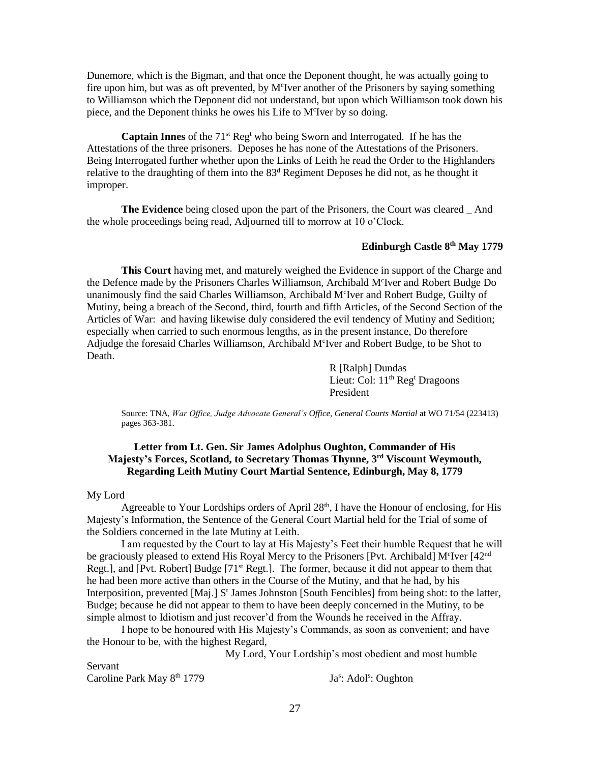Dunemore, which is the Bigman, and that once the Deponent thought, he was actually going to fire upon him, but was as oft prevented, by M<sup>c</sup>Iver another of the Prisoners by saying something to Williamson which the Deponent did not understand, but upon which Williamson took down his piece, and the Deponent thinks he owes his Life to M<sup>c</sup>Iver by so doing.

**Captain Innes** of the 71<sup>st</sup> Reg<sup>t</sup> who being Sworn and Interrogated. If he has the Attestations of the three prisoners. Deposes he has none of the Attestations of the Prisoners. Being Interrogated further whether upon the Links of Leith he read the Order to the Highlanders relative to the draughting of them into the 83<sup>d</sup> Regiment Deposes he did not, as he thought it improper.

**The Evidence** being closed upon the part of the Prisoners, the Court was cleared \_ And the whole proceedings being read, Adjourned till to morrow at 10 o'Clock.

#### **Edinburgh Castle 8th May 1779**

**This Court** having met, and maturely weighed the Evidence in support of the Charge and the Defence made by the Prisoners Charles Williamson, Archibald M<sup>c</sup>Iver and Robert Budge Do unanimously find the said Charles Williamson, Archibald M<sup>c</sup>Iver and Robert Budge, Guilty of Mutiny, being a breach of the Second, third, fourth and fifth Articles, of the Second Section of the Articles of War: and having likewise duly considered the evil tendency of Mutiny and Sedition; especially when carried to such enormous lengths, as in the present instance, Do therefore Adjudge the foresaid Charles Williamson, Archibald M<sup>c</sup>Iver and Robert Budge, to be Shot to Death.

> R [Ralph] Dundas Lieut: Col: 11<sup>th</sup> Reg<sup>t</sup> Dragoons President

Source: TNA, *War Office, Judge Advocate General's Office, General Courts Martial* at WO 71/54 (223413) pages 363-381.

### **Letter from Lt. Gen. Sir James Adolphus Oughton, Commander of His Majesty's Forces, Scotland, to Secretary Thomas Thynne, 3rd Viscount Weymouth, Regarding Leith Mutiny Court Martial Sentence, Edinburgh, May 8, 1779**

#### My Lord

Agreeable to Your Lordships orders of April  $28<sup>th</sup>$ , I have the Honour of enclosing, for His Majesty's Information, the Sentence of the General Court Martial held for the Trial of some of the Soldiers concerned in the late Mutiny at Leith.

I am requested by the Court to lay at His Majesty's Feet their humble Request that he will be graciously pleased to extend His Royal Mercy to the Prisoners [Pvt. Archibald] M<sup>c</sup>Iver [42<sup>nd</sup> Regt.], and [Pvt. Robert] Budge [71<sup>st</sup> Regt.]. The former, because it did not appear to them that he had been more active than others in the Course of the Mutiny, and that he had, by his Interposition, prevented [Maj.] S<sup>r</sup> James Johnston [South Fencibles] from being shot: to the latter, Budge; because he did not appear to them to have been deeply concerned in the Mutiny, to be simple almost to Idiotism and just recover'd from the Wounds he received in the Affray.

I hope to be honoured with His Majesty's Commands, as soon as convenient; and have the Honour to be, with the highest Regard,

My Lord, Your Lordship's most obedient and most humble

Servant Caroline Park May 8<sup>th</sup> 1779

: Adol<sup>s</sup>: Oughton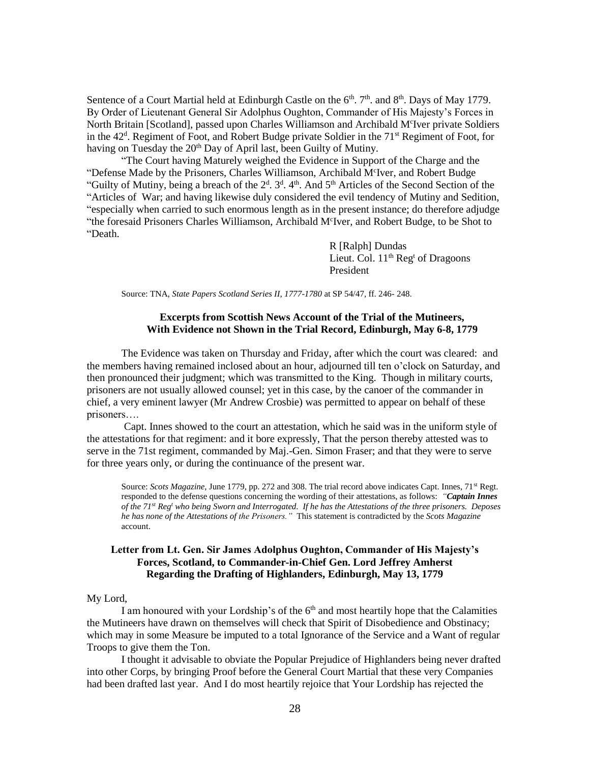Sentence of a Court Martial held at Edinburgh Castle on the  $6<sup>th</sup>$ .  $7<sup>th</sup>$ . and  $8<sup>th</sup>$ . Days of May 1779. By Order of Lieutenant General Sir Adolphus Oughton, Commander of His Majesty's Forces in North Britain [Scotland], passed upon Charles Williamson and Archibald M<sup>c</sup>Iver private Soldiers in the 42<sup>d</sup>. Regiment of Foot, and Robert Budge private Soldier in the 71<sup>st</sup> Regiment of Foot, for having on Tuesday the 20<sup>th</sup> Day of April last, been Guilty of Mutiny.

"The Court having Maturely weighed the Evidence in Support of the Charge and the "Defense Made by the Prisoners, Charles Williamson, Archibald M<sup>c</sup>Iver, and Robert Budge "Guilty of Mutiny, being a breach of the 2<sup>d</sup>. 3<sup>d</sup>. 4<sup>th</sup>. And 5<sup>th</sup> Articles of the Second Section of the "Articles of War; and having likewise duly considered the evil tendency of Mutiny and Sedition, "especially when carried to such enormous length as in the present instance; do therefore adjudge "the foresaid Prisoners Charles Williamson, Archibald M<sup>c</sup>Iver, and Robert Budge, to be Shot to "Death.

> R [Ralph] Dundas Lieut. Col.  $11<sup>th</sup>$  Reg<sup>t</sup> of Dragoons President

Source: TNA, *State Papers Scotland Series II, 1777-1780* at SP 54/47, ff. 246- 248.

#### **Excerpts from Scottish News Account of the Trial of the Mutineers, With Evidence not Shown in the Trial Record, Edinburgh, May 6-8, 1779**

The Evidence was taken on Thursday and Friday, after which the court was cleared: and the members having remained inclosed about an hour, adjourned till ten o'clock on Saturday, and then pronounced their judgment; which was transmitted to the King. Though in military courts, prisoners are not usually allowed counsel; yet in this case, by the canoer of the commander in chief, a very eminent lawyer (Mr Andrew Crosbie) was permitted to appear on behalf of these prisoners….

Capt. Innes showed to the court an attestation, which he said was in the uniform style of the attestations for that regiment: and it bore expressly, That the person thereby attested was to serve in the 71st regiment, commanded by Maj.-Gen. Simon Fraser; and that they were to serve for three years only, or during the continuance of the present war.

Source: *Scots Magazine*, June 1779, pp. 272 and 308. The trial record above indicates Capt. Innes, 71<sup>st</sup> Regt. responded to the defense questions concerning the wording of their attestations, as follows: *"Captain Innes of the 71st Reg<sup>t</sup> who being Sworn and Interrogated. If he has the Attestations of the three prisoners. Deposes he has none of the Attestations of the Prisoners."* This statement is contradicted by the *Scots Magazine* account.

#### **Letter from Lt. Gen. Sir James Adolphus Oughton, Commander of His Majesty's Forces, Scotland, to Commander-in-Chief Gen. Lord Jeffrey Amherst Regarding the Drafting of Highlanders, Edinburgh, May 13, 1779**

#### My Lord,

I am honoured with your Lordship's of the  $6<sup>th</sup>$  and most heartily hope that the Calamities the Mutineers have drawn on themselves will check that Spirit of Disobedience and Obstinacy; which may in some Measure be imputed to a total Ignorance of the Service and a Want of regular Troops to give them the Ton.

I thought it advisable to obviate the Popular Prejudice of Highlanders being never drafted into other Corps, by bringing Proof before the General Court Martial that these very Companies had been drafted last year. And I do most heartily rejoice that Your Lordship has rejected the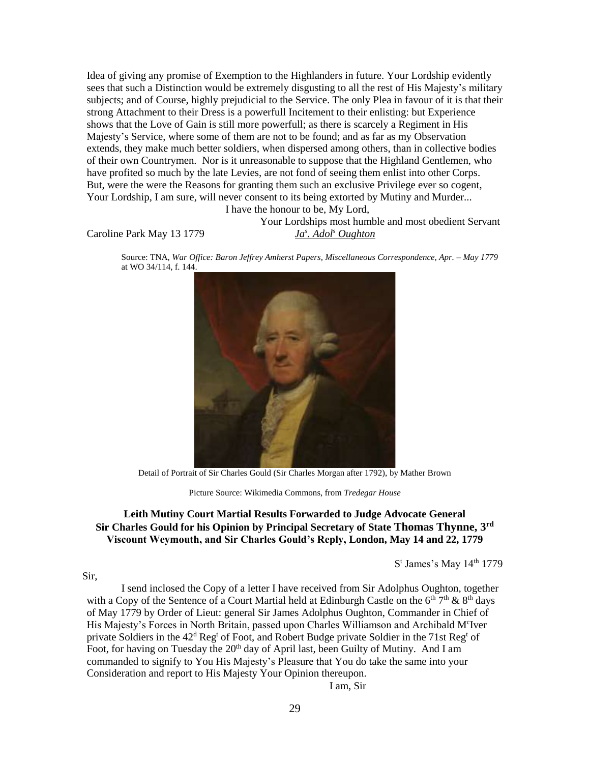Idea of giving any promise of Exemption to the Highlanders in future. Your Lordship evidently sees that such a Distinction would be extremely disgusting to all the rest of His Majesty's military subjects; and of Course, highly prejudicial to the Service. The only Plea in favour of it is that their strong Attachment to their Dress is a powerfull Incitement to their enlisting: but Experience shows that the Love of Gain is still more powerfull; as there is scarcely a Regiment in His Majesty's Service, where some of them are not to be found; and as far as my Observation extends, they make much better soldiers, when dispersed among others, than in collective bodies of their own Countrymen. Nor is it unreasonable to suppose that the Highland Gentlemen, who have profited so much by the late Levies, are not fond of seeing them enlist into other Corps. But, were the were the Reasons for granting them such an exclusive Privilege ever so cogent, Your Lordship, I am sure, will never consent to its being extorted by Mutiny and Murder...

I have the honour to be, My Lord,

Caroline Park May 13 1779

Your Lordships most humble and most obedient Servant *. Adol<sup>s</sup> Oughton*

Source: TNA, *War Office: Baron Jeffrey Amherst Papers, Miscellaneous Correspondence, Apr. – May 1779* at WO 34/114, f. 144.



Detail of Portrait of Sir Charles Gould (Sir Charles Morgan after 1792), by Mather Brown

Picture Source: Wikimedia Commons, from *Tredegar House*

## **Leith Mutiny Court Martial Results Forwarded to Judge Advocate General Sir Charles Gould for his Opinion by Principal Secretary of State Thomas Thynne, 3rd Viscount Weymouth, and Sir Charles Gould's Reply, London, May 14 and 22, 1779**

 $S<sup>t</sup>$  James's May 14<sup>th</sup> 1779

#### Sir,

I send inclosed the Copy of a letter I have received from Sir Adolphus Oughton, together with a Copy of the Sentence of a Court Martial held at Edinburgh Castle on the  $6<sup>th</sup> 7<sup>th</sup>$  &  $8<sup>th</sup>$  days of May 1779 by Order of Lieut: general Sir James Adolphus Oughton, Commander in Chief of His Majesty's Forces in North Britain, passed upon Charles Williamson and Archibald M<sup>c</sup>Iver private Soldiers in the  $42^d$  Reg<sup>t</sup> of Foot, and Robert Budge private Soldier in the 71st Reg<sup>t</sup> of Foot, for having on Tuesday the 20<sup>th</sup> day of April last, been Guilty of Mutiny. And I am commanded to signify to You His Majesty's Pleasure that You do take the same into your Consideration and report to His Majesty Your Opinion thereupon.

I am, Sir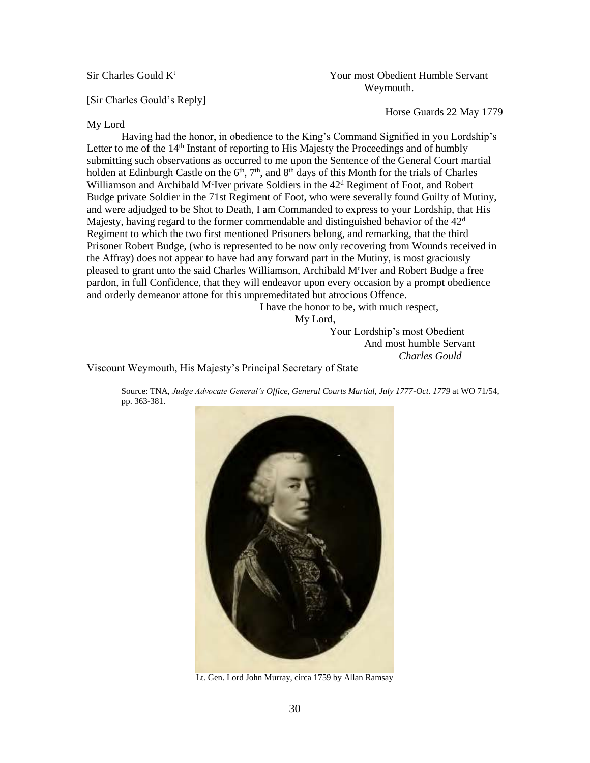Sir Charles Gould K<sup>t</sup> Servant Numble Servant Numble Servant Weymouth.

Horse Guards 22 May 1779

[Sir Charles Gould's Reply]

#### My Lord

Having had the honor, in obedience to the King's Command Signified in you Lordship's Letter to me of the  $14<sup>th</sup>$  Instant of reporting to His Majesty the Proceedings and of humbly submitting such observations as occurred to me upon the Sentence of the General Court martial holden at Edinburgh Castle on the  $6<sup>th</sup>$ ,  $7<sup>th</sup>$ , and  $8<sup>th</sup>$  days of this Month for the trials of Charles Williamson and Archibald M<sup>c</sup>Iver private Soldiers in the 42<sup>d</sup> Regiment of Foot, and Robert Budge private Soldier in the 71st Regiment of Foot, who were severally found Guilty of Mutiny, and were adjudged to be Shot to Death, I am Commanded to express to your Lordship, that His Majesty, having regard to the former commendable and distinguished behavior of the  $42<sup>d</sup>$ Regiment to which the two first mentioned Prisoners belong, and remarking, that the third Prisoner Robert Budge, (who is represented to be now only recovering from Wounds received in the Affray) does not appear to have had any forward part in the Mutiny, is most graciously pleased to grant unto the said Charles Williamson, Archibald M<sup>c</sup>Iver and Robert Budge a free pardon, in full Confidence, that they will endeavor upon every occasion by a prompt obedience and orderly demeanor attone for this unpremeditated but atrocious Offence.

I have the honor to be, with much respect,

My Lord,

Your Lordship's most Obedient And most humble Servant *Charles Gould*

Viscount Weymouth, His Majesty's Principal Secretary of State

Source: TNA, *Judge Advocate General's Office, General Courts Martial, July 1777-Oct. 1779* at WO 71/54, pp. 363-381.



Lt. Gen. Lord John Murray, circa 1759 by Allan Ramsay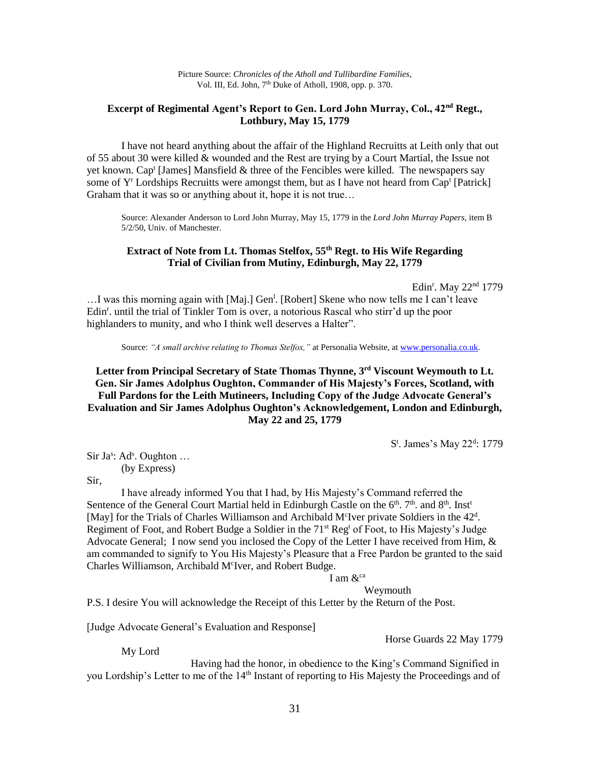## **Excerpt of Regimental Agent's Report to Gen. Lord John Murray, Col., 42nd Regt., Lothbury, May 15, 1779**

I have not heard anything about the affair of the Highland Recruitts at Leith only that out of 55 about 30 were killed & wounded and the Rest are trying by a Court Martial, the Issue not yet known. Cap<sup>t</sup> [James] Mansfield & three of the Fencibles were killed. The newspapers say some of  $Y^r$  Lordships Recruitts were amongst them, but as I have not heard from Cap<sup>t</sup> [Patrick] Graham that it was so or anything about it, hope it is not true…

Source: Alexander Anderson to Lord John Murray, May 15, 1779 in the *Lord John Murray Papers,* item B 5/2/50, Univ. of Manchester.

### **Extract of Note from Lt. Thomas Stelfox, 55th Regt. to His Wife Regarding Trial of Civilian from Mutiny, Edinburgh, May 22, 1779**

Edin<sup>r</sup>. May 22<sup>nd</sup> 1779

...I was this morning again with [Maj.] Gen<sup>1</sup>. [Robert] Skene who now tells me I can't leave Edin<sup>r</sup>. until the trial of Tinkler Tom is over, a notorious Rascal who stirr'd up the poor highlanders to munity, and who I think well deserves a Halter".

Source: *"A small archive relating to Thomas Stelfox,"* at Personalia Website, a[t www.personalia.co.uk](http://www.personalia.co.uk/).

## **Letter from Principal Secretary of State Thomas Thynne, 3rd Viscount Weymouth to Lt. Gen. Sir James Adolphus Oughton, Commander of His Majesty's Forces, Scotland, with Full Pardons for the Leith Mutineers, Including Copy of the Judge Advocate General's Evaluation and Sir James Adolphus Oughton's Acknowledgement, London and Edinburgh, May 22 and 25, 1779**

S<sup>t</sup>. James's May 22<sup>d</sup>: 1779

Sir Ja<sup>s</sup>: Ad<sup>s</sup>. Oughton ... (by Express)

Sir,

I have already informed You that I had, by His Majesty's Command referred the Sentence of the General Court Martial held in Edinburgh Castle on the 6<sup>th</sup>. 7<sup>th</sup>. and 8<sup>th</sup>. Inst<sup>t</sup> [May] for the Trials of Charles Williamson and Archibald M<sup>c</sup>Iver private Soldiers in the 42<sup>d</sup>. Regiment of Foot, and Robert Budge a Soldier in the 71<sup>st</sup> Reg<sup>t</sup> of Foot, to His Majesty's Judge Advocate General; I now send you inclosed the Copy of the Letter I have received from Him, & am commanded to signify to You His Majesty's Pleasure that a Free Pardon be granted to the said Charles Williamson, Archibald M<sup>c</sup>Iver, and Robert Budge.

# I am  $\&^{\text{ca}}$

Weymouth

P.S. I desire You will acknowledge the Receipt of this Letter by the Return of the Post.

[Judge Advocate General's Evaluation and Response]

Horse Guards 22 May 1779

My Lord

Having had the honor, in obedience to the King's Command Signified in you Lordship's Letter to me of the 14<sup>th</sup> Instant of reporting to His Majesty the Proceedings and of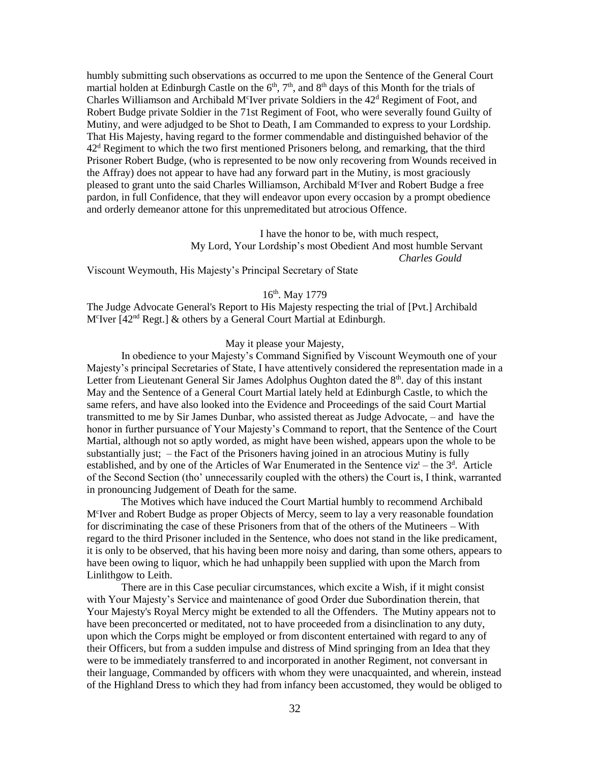humbly submitting such observations as occurred to me upon the Sentence of the General Court martial holden at Edinburgh Castle on the 6<sup>th</sup>, 7<sup>th</sup>, and 8<sup>th</sup> days of this Month for the trials of Charles Williamson and Archibald M<sup>c</sup>Iver private Soldiers in the 42<sup>d</sup> Regiment of Foot, and Robert Budge private Soldier in the 71st Regiment of Foot, who were severally found Guilty of Mutiny, and were adjudged to be Shot to Death, I am Commanded to express to your Lordship. That His Majesty, having regard to the former commendable and distinguished behavior of the  $42<sup>d</sup>$  Regiment to which the two first mentioned Prisoners belong, and remarking, that the third Prisoner Robert Budge, (who is represented to be now only recovering from Wounds received in the Affray) does not appear to have had any forward part in the Mutiny, is most graciously pleased to grant unto the said Charles Williamson, Archibald M<sup>c</sup>Iver and Robert Budge a free pardon, in full Confidence, that they will endeavor upon every occasion by a prompt obedience and orderly demeanor attone for this unpremeditated but atrocious Offence.

> I have the honor to be, with much respect, My Lord, Your Lordship's most Obedient And most humble Servant *Charles Gould*

Viscount Weymouth, His Majesty's Principal Secretary of State

# 16th. May 1779

The Judge Advocate General's Report to His Majesty respecting the trial of [Pvt.] Archibald M<sup>c</sup>Iver [42<sup>nd</sup> Regt.] & others by a General Court Martial at Edinburgh.

#### May it please your Majesty,

In obedience to your Majesty's Command Signified by Viscount Weymouth one of your Majesty's principal Secretaries of State, I have attentively considered the representation made in a Letter from Lieutenant General Sir James Adolphus Oughton dated the  $8<sup>th</sup>$ . day of this instant May and the Sentence of a General Court Martial lately held at Edinburgh Castle, to which the same refers, and have also looked into the Evidence and Proceedings of the said Court Martial transmitted to me by Sir James Dunbar, who assisted thereat as Judge Advocate, – and have the honor in further pursuance of Your Majesty's Command to report, that the Sentence of the Court Martial, although not so aptly worded, as might have been wished, appears upon the whole to be substantially just; – the Fact of the Prisoners having joined in an atrocious Mutiny is fully established, and by one of the Articles of War Enumerated in the Sentence viz<sup>t</sup> – the  $3<sup>d</sup>$ . Article of the Second Section (tho' unnecessarily coupled with the others) the Court is, I think, warranted in pronouncing Judgement of Death for the same.

The Motives which have induced the Court Martial humbly to recommend Archibald M<sup>c</sup>Iver and Robert Budge as proper Objects of Mercy, seem to lay a very reasonable foundation for discriminating the case of these Prisoners from that of the others of the Mutineers – With regard to the third Prisoner included in the Sentence, who does not stand in the like predicament, it is only to be observed, that his having been more noisy and daring, than some others, appears to have been owing to liquor, which he had unhappily been supplied with upon the March from Linlithgow to Leith.

There are in this Case peculiar circumstances, which excite a Wish, if it might consist with Your Majesty's Service and maintenance of good Order due Subordination therein, that Your Majesty's Royal Mercy might be extended to all the Offenders. The Mutiny appears not to have been preconcerted or meditated, not to have proceeded from a disinclination to any duty, upon which the Corps might be employed or from discontent entertained with regard to any of their Officers, but from a sudden impulse and distress of Mind springing from an Idea that they were to be immediately transferred to and incorporated in another Regiment, not conversant in their language, Commanded by officers with whom they were unacquainted, and wherein, instead of the Highland Dress to which they had from infancy been accustomed, they would be obliged to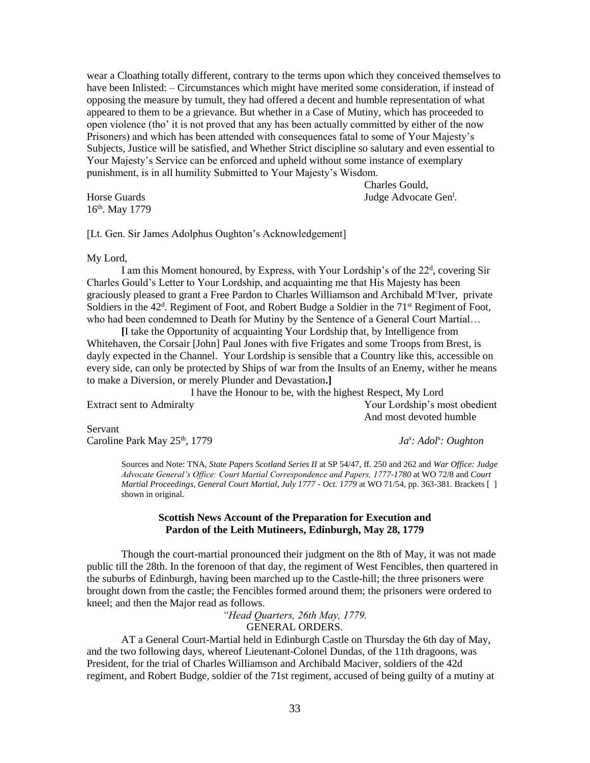wear a Cloathing totally different, contrary to the terms upon which they conceived themselves to have been Inlisted: – Circumstances which might have merited some consideration, if instead of opposing the measure by tumult, they had offered a decent and humble representation of what appeared to them to be a grievance. But whether in a Case of Mutiny, which has proceeded to open violence (tho' it is not proved that any has been actually committed by either of the now Prisoners) and which has been attended with consequences fatal to some of Your Majesty's Subjects, Justice will be satisfied, and Whether Strict discipline so salutary and even essential to Your Majesty's Service can be enforced and upheld without some instance of exemplary punishment, is in all humility Submitted to Your Majesty's Wisdom.

16th. May 1779

Horse Guards **Internal Contract Conducts** Sudge Advocate Gen<sup>1</sup>.

Charles Gould,

[Lt. Gen. Sir James Adolphus Oughton's Acknowledgement]

My Lord,

I am this Moment honoured, by Express, with Your Lordship's of the 22<sup>d</sup>, covering Sir Charles Gould's Letter to Your Lordship, and acquainting me that His Majesty has been graciously pleased to grant a Free Pardon to Charles Williamson and Archibald M<sup>c</sup>Iver, private Soldiers in the 42<sup>d</sup>. Regiment of Foot, and Robert Budge a Soldier in the 71<sup>st</sup> Regiment of Foot, who had been condemned to Death for Mutiny by the Sentence of a General Court Martial…

**[**I take the Opportunity of acquainting Your Lordship that, by Intelligence from Whitehaven, the Corsair [John] Paul Jones with five Frigates and some Troops from Brest, is dayly expected in the Channel. Your Lordship is sensible that a Country like this, accessible on every side, can only be protected by Ships of war from the Insults of an Enemy, wither he means to make a Diversion, or merely Plunder and Devastation**.]**

I have the Honour to be, with the highest Respect, My Lord Extract sent to Admiralty Your Lordship's most obedient And most devoted humble

Servant Caroline Park May 25<sup>th</sup>, 1779

*: Adol<sup>s</sup> : Oughton*

Sources and Note: TNA, *State Papers Scotland Series II* at SP 54/47, ff. 250 and 262 and *War Office: Judge Advocate General's Office: Court Martial Correspondence and Papers, 1777-1780* at WO 72/8 and *Court Martial Proceedings, General Court Martial, July 1777 - Oct. 1779* at WO 71/54, pp. 363-381. Brackets [ ] shown in original.

#### **Scottish News Account of the Preparation for Execution and Pardon of the Leith Mutineers, Edinburgh, May 28, 1779**

Though the court-martial pronounced their judgment on the 8th of May, it was not made public till the 28th. In the forenoon of that day, the regiment of West Fencibles, then quartered in the suburbs of Edinburgh, having been marched up to the Castle-hill; the three prisoners were brought down from the castle; the Fencibles formed around them; the prisoners were ordered to kneel; and then the Major read as follows.

*"Head Quarters, 26th May, 1779.*

GENERAL ORDERS.

AT a General Court-Martial held in Edinburgh Castle on Thursday the 6th day of May, and the two following days, whereof Lieutenant-Colonel Dundas, of the 11th dragoons, was President, for the trial of Charles Williamson and Archibald Maciver, soldiers of the 42d regiment, and Robert Budge, soldier of the 71st regiment, accused of being guilty of a mutiny at